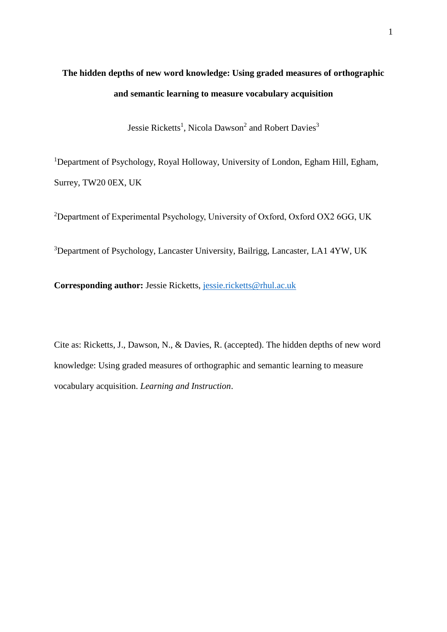# **The hidden depths of new word knowledge: Using graded measures of orthographic and semantic learning to measure vocabulary acquisition**

Jessie Ricketts<sup>1</sup>, Nicola Dawson<sup>2</sup> and Robert Davies<sup>3</sup>

<sup>1</sup>Department of Psychology, Royal Holloway, University of London, Egham Hill, Egham, Surrey, TW20 0EX, UK

<sup>2</sup>Department of Experimental Psychology, University of Oxford, Oxford OX2 6GG, UK

<sup>3</sup>Department of Psychology, Lancaster University, Bailrigg, Lancaster, LA1 4YW, UK

**Corresponding author:** Jessie Ricketts, [jessie.ricketts@rhul.ac.uk](mailto:jessie.ricketts@rhul.ac.uk)

Cite as: Ricketts, J., Dawson, N., & Davies, R. (accepted). The hidden depths of new word knowledge: Using graded measures of orthographic and semantic learning to measure vocabulary acquisition. *Learning and Instruction*.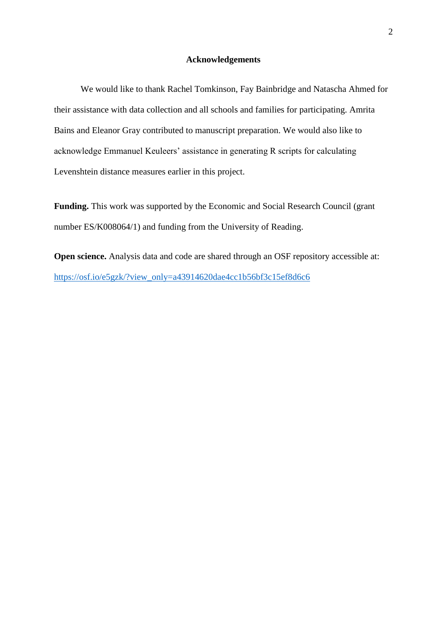#### **Acknowledgements**

We would like to thank Rachel Tomkinson, Fay Bainbridge and Natascha Ahmed for their assistance with data collection and all schools and families for participating. Amrita Bains and Eleanor Gray contributed to manuscript preparation. We would also like to acknowledge Emmanuel Keuleers' assistance in generating R scripts for calculating Levenshtein distance measures earlier in this project.

**Funding.** This work was supported by the Economic and Social Research Council (grant number ES/K008064/1) and funding from the University of Reading.

**Open science.** Analysis data and code are shared through an OSF repository accessible at: [https://osf.io/e5gzk/?view\\_only=a43914620dae4cc1b56bf3c15ef8d6c6](https://osf.io/e5gzk/?view_only=a43914620dae4cc1b56bf3c15ef8d6c6)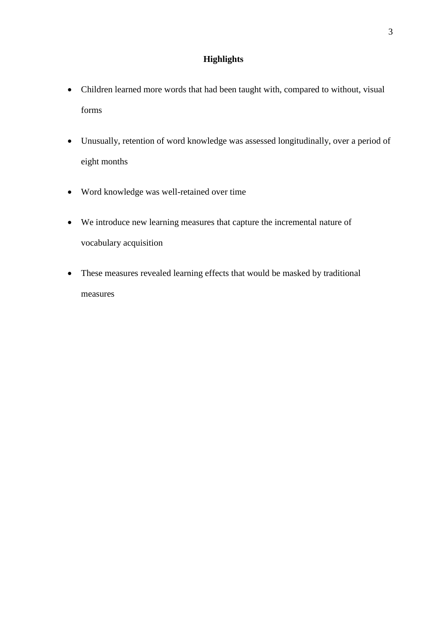### **Highlights**

- Children learned more words that had been taught with, compared to without, visual forms
- Unusually, retention of word knowledge was assessed longitudinally, over a period of eight months
- Word knowledge was well-retained over time
- We introduce new learning measures that capture the incremental nature of vocabulary acquisition
- These measures revealed learning effects that would be masked by traditional measures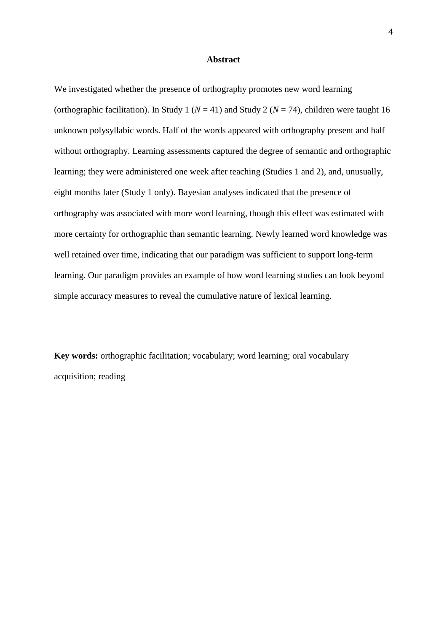#### **Abstract**

We investigated whether the presence of orthography promotes new word learning (orthographic facilitation). In Study 1 ( $N = 41$ ) and Study 2 ( $N = 74$ ), children were taught 16 unknown polysyllabic words. Half of the words appeared with orthography present and half without orthography. Learning assessments captured the degree of semantic and orthographic learning; they were administered one week after teaching (Studies 1 and 2), and, unusually, eight months later (Study 1 only). Bayesian analyses indicated that the presence of orthography was associated with more word learning, though this effect was estimated with more certainty for orthographic than semantic learning. Newly learned word knowledge was well retained over time, indicating that our paradigm was sufficient to support long-term learning. Our paradigm provides an example of how word learning studies can look beyond simple accuracy measures to reveal the cumulative nature of lexical learning.

**Key words:** orthographic facilitation; vocabulary; word learning; oral vocabulary acquisition; reading

4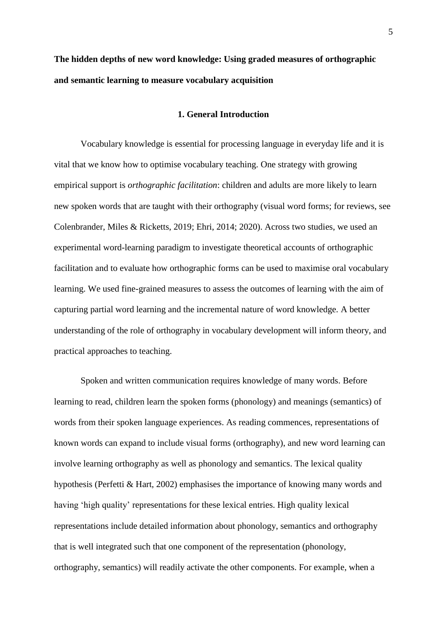## **The hidden depths of new word knowledge: Using graded measures of orthographic and semantic learning to measure vocabulary acquisition**

#### **1. General Introduction**

Vocabulary knowledge is essential for processing language in everyday life and it is vital that we know how to optimise vocabulary teaching. One strategy with growing empirical support is *orthographic facilitation*: children and adults are more likely to learn new spoken words that are taught with their orthography (visual word forms; for reviews, see Colenbrander, Miles & Ricketts, 2019; Ehri, 2014; 2020). Across two studies, we used an experimental word-learning paradigm to investigate theoretical accounts of orthographic facilitation and to evaluate how orthographic forms can be used to maximise oral vocabulary learning. We used fine-grained measures to assess the outcomes of learning with the aim of capturing partial word learning and the incremental nature of word knowledge. A better understanding of the role of orthography in vocabulary development will inform theory, and practical approaches to teaching.

Spoken and written communication requires knowledge of many words. Before learning to read, children learn the spoken forms (phonology) and meanings (semantics) of words from their spoken language experiences. As reading commences, representations of known words can expand to include visual forms (orthography), and new word learning can involve learning orthography as well as phonology and semantics. The lexical quality hypothesis (Perfetti & Hart, 2002) emphasises the importance of knowing many words and having 'high quality' representations for these lexical entries. High quality lexical representations include detailed information about phonology, semantics and orthography that is well integrated such that one component of the representation (phonology, orthography, semantics) will readily activate the other components. For example, when a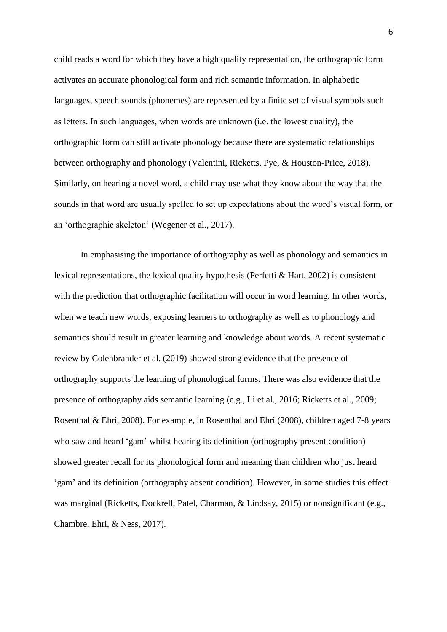child reads a word for which they have a high quality representation, the orthographic form activates an accurate phonological form and rich semantic information. In alphabetic languages, speech sounds (phonemes) are represented by a finite set of visual symbols such as letters. In such languages, when words are unknown (i.e. the lowest quality), the orthographic form can still activate phonology because there are systematic relationships between orthography and phonology (Valentini, Ricketts, Pye, & Houston-Price, 2018). Similarly, on hearing a novel word, a child may use what they know about the way that the sounds in that word are usually spelled to set up expectations about the word's visual form, or an 'orthographic skeleton' (Wegener et al., 2017).

In emphasising the importance of orthography as well as phonology and semantics in lexical representations, the lexical quality hypothesis (Perfetti & Hart, 2002) is consistent with the prediction that orthographic facilitation will occur in word learning. In other words, when we teach new words, exposing learners to orthography as well as to phonology and semantics should result in greater learning and knowledge about words. A recent systematic review by Colenbrander et al. (2019) showed strong evidence that the presence of orthography supports the learning of phonological forms. There was also evidence that the presence of orthography aids semantic learning (e.g., Li et al., 2016; Ricketts et al., 2009; Rosenthal & Ehri, 2008). For example, in Rosenthal and Ehri (2008), children aged 7-8 years who saw and heard 'gam' whilst hearing its definition (orthography present condition) showed greater recall for its phonological form and meaning than children who just heard 'gam' and its definition (orthography absent condition). However, in some studies this effect was marginal (Ricketts, Dockrell, Patel, Charman, & Lindsay, 2015) or nonsignificant (e.g., Chambre, Ehri, & Ness, 2017).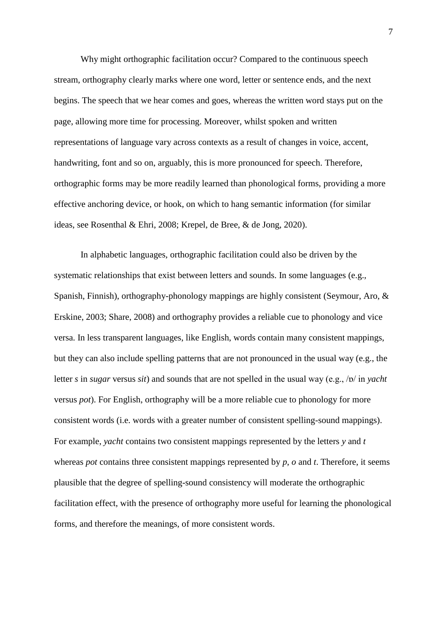Why might orthographic facilitation occur? Compared to the continuous speech stream, orthography clearly marks where one word, letter or sentence ends, and the next begins. The speech that we hear comes and goes, whereas the written word stays put on the page, allowing more time for processing. Moreover, whilst spoken and written representations of language vary across contexts as a result of changes in voice, accent, handwriting, font and so on, arguably, this is more pronounced for speech. Therefore, orthographic forms may be more readily learned than phonological forms, providing a more effective anchoring device, or hook, on which to hang semantic information (for similar ideas, see Rosenthal & Ehri, 2008; Krepel, de Bree, & de Jong, 2020).

In alphabetic languages, orthographic facilitation could also be driven by the systematic relationships that exist between letters and sounds. In some languages (e.g., Spanish, Finnish), orthography-phonology mappings are highly consistent (Seymour, Aro, & Erskine, 2003; Share, 2008) and orthography provides a reliable cue to phonology and vice versa. In less transparent languages, like English, words contain many consistent mappings, but they can also include spelling patterns that are not pronounced in the usual way (e.g., the letter *s* in *sugar* versus *sit*) and sounds that are not spelled in the usual way (e.g., /p/ in *yacht* versus *pot*). For English, orthography will be a more reliable cue to phonology for more consistent words (i.e. words with a greater number of consistent spelling-sound mappings). For example, *yacht* contains two consistent mappings represented by the letters *y* and *t*  whereas *pot* contains three consistent mappings represented by *p*, *o* and *t*. Therefore, it seems plausible that the degree of spelling-sound consistency will moderate the orthographic facilitation effect, with the presence of orthography more useful for learning the phonological forms, and therefore the meanings, of more consistent words.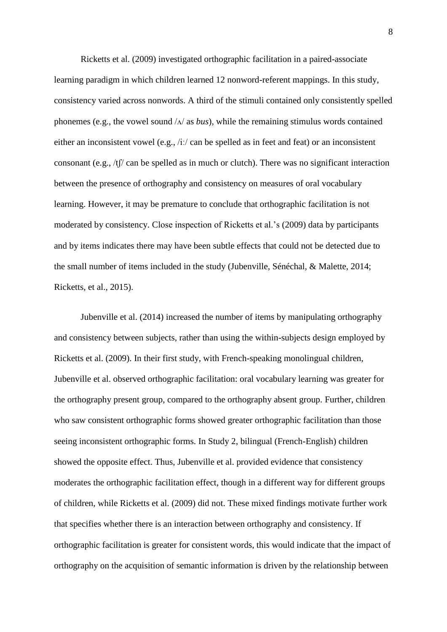Ricketts et al. (2009) investigated orthographic facilitation in a paired-associate learning paradigm in which children learned 12 nonword-referent mappings. In this study, consistency varied across nonwords. A third of the stimuli contained only consistently spelled phonemes (e.g., the vowel sound  $\Delta/\Delta$  as *bus*), while the remaining stimulus words contained either an inconsistent vowel (e.g., /iː/ can be spelled as in feet and feat) or an inconsistent consonant (e.g., /tʃ/ can be spelled as in much or clutch). There was no significant interaction between the presence of orthography and consistency on measures of oral vocabulary learning. However, it may be premature to conclude that orthographic facilitation is not moderated by consistency. Close inspection of Ricketts et al.'s (2009) data by participants and by items indicates there may have been subtle effects that could not be detected due to the small number of items included in the study (Jubenville, Sénéchal, & Malette, 2014; Ricketts, et al., 2015).

Jubenville et al. (2014) increased the number of items by manipulating orthography and consistency between subjects, rather than using the within-subjects design employed by Ricketts et al. (2009). In their first study, with French-speaking monolingual children, Jubenville et al. observed orthographic facilitation: oral vocabulary learning was greater for the orthography present group, compared to the orthography absent group. Further, children who saw consistent orthographic forms showed greater orthographic facilitation than those seeing inconsistent orthographic forms. In Study 2, bilingual (French-English) children showed the opposite effect. Thus, Jubenville et al. provided evidence that consistency moderates the orthographic facilitation effect, though in a different way for different groups of children, while Ricketts et al. (2009) did not. These mixed findings motivate further work that specifies whether there is an interaction between orthography and consistency. If orthographic facilitation is greater for consistent words, this would indicate that the impact of orthography on the acquisition of semantic information is driven by the relationship between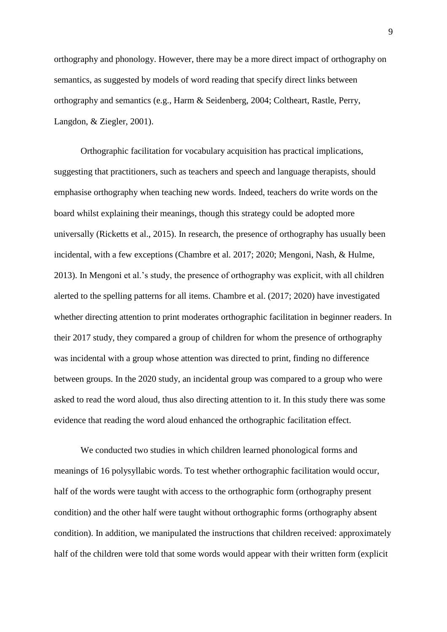orthography and phonology. However, there may be a more direct impact of orthography on semantics, as suggested by models of word reading that specify direct links between orthography and semantics (e.g., Harm & Seidenberg, 2004; Coltheart, Rastle, Perry, Langdon, & Ziegler, 2001).

Orthographic facilitation for vocabulary acquisition has practical implications, suggesting that practitioners, such as teachers and speech and language therapists, should emphasise orthography when teaching new words. Indeed, teachers do write words on the board whilst explaining their meanings, though this strategy could be adopted more universally (Ricketts et al., 2015). In research, the presence of orthography has usually been incidental, with a few exceptions (Chambre et al. 2017; 2020; Mengoni, Nash, & Hulme, 2013). In Mengoni et al.'s study, the presence of orthography was explicit, with all children alerted to the spelling patterns for all items. Chambre et al. (2017; 2020) have investigated whether directing attention to print moderates orthographic facilitation in beginner readers. In their 2017 study, they compared a group of children for whom the presence of orthography was incidental with a group whose attention was directed to print, finding no difference between groups. In the 2020 study, an incidental group was compared to a group who were asked to read the word aloud, thus also directing attention to it. In this study there was some evidence that reading the word aloud enhanced the orthographic facilitation effect.

We conducted two studies in which children learned phonological forms and meanings of 16 polysyllabic words. To test whether orthographic facilitation would occur, half of the words were taught with access to the orthographic form (orthography present condition) and the other half were taught without orthographic forms (orthography absent condition). In addition, we manipulated the instructions that children received: approximately half of the children were told that some words would appear with their written form (explicit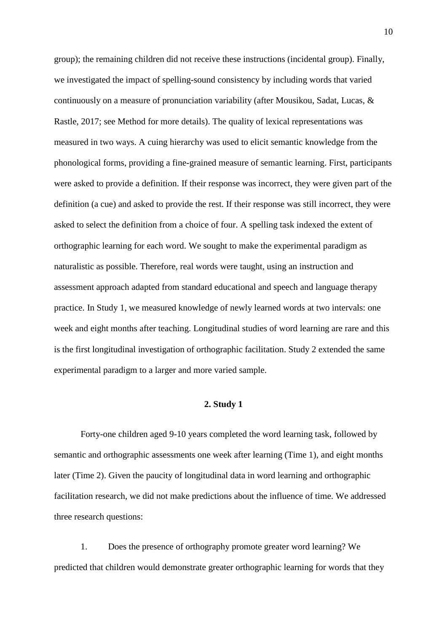group); the remaining children did not receive these instructions (incidental group). Finally, we investigated the impact of spelling-sound consistency by including words that varied continuously on a measure of pronunciation variability (after Mousikou, Sadat, Lucas, & Rastle, 2017; see Method for more details). The quality of lexical representations was measured in two ways. A cuing hierarchy was used to elicit semantic knowledge from the phonological forms, providing a fine-grained measure of semantic learning. First, participants were asked to provide a definition. If their response was incorrect, they were given part of the definition (a cue) and asked to provide the rest. If their response was still incorrect, they were asked to select the definition from a choice of four. A spelling task indexed the extent of orthographic learning for each word. We sought to make the experimental paradigm as naturalistic as possible. Therefore, real words were taught, using an instruction and assessment approach adapted from standard educational and speech and language therapy practice. In Study 1, we measured knowledge of newly learned words at two intervals: one week and eight months after teaching. Longitudinal studies of word learning are rare and this is the first longitudinal investigation of orthographic facilitation. Study 2 extended the same experimental paradigm to a larger and more varied sample.

#### **2. Study 1**

Forty-one children aged 9-10 years completed the word learning task, followed by semantic and orthographic assessments one week after learning (Time 1), and eight months later (Time 2). Given the paucity of longitudinal data in word learning and orthographic facilitation research, we did not make predictions about the influence of time. We addressed three research questions:

1. Does the presence of orthography promote greater word learning? We predicted that children would demonstrate greater orthographic learning for words that they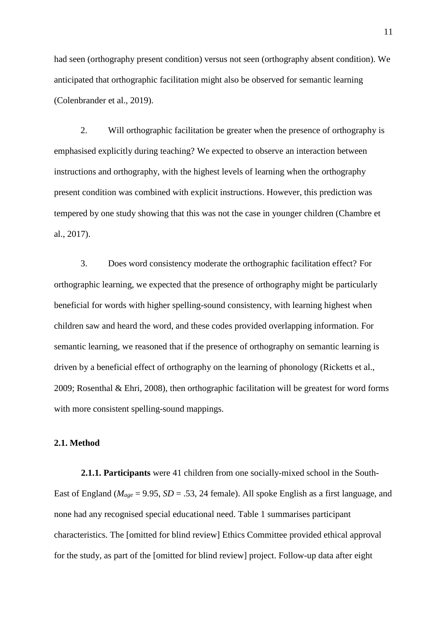had seen (orthography present condition) versus not seen (orthography absent condition). We anticipated that orthographic facilitation might also be observed for semantic learning (Colenbrander et al., 2019).

2. Will orthographic facilitation be greater when the presence of orthography is emphasised explicitly during teaching? We expected to observe an interaction between instructions and orthography, with the highest levels of learning when the orthography present condition was combined with explicit instructions. However, this prediction was tempered by one study showing that this was not the case in younger children (Chambre et al., 2017).

3. Does word consistency moderate the orthographic facilitation effect? For orthographic learning, we expected that the presence of orthography might be particularly beneficial for words with higher spelling-sound consistency, with learning highest when children saw and heard the word, and these codes provided overlapping information. For semantic learning, we reasoned that if the presence of orthography on semantic learning is driven by a beneficial effect of orthography on the learning of phonology (Ricketts et al., 2009; Rosenthal & Ehri, 2008), then orthographic facilitation will be greatest for word forms with more consistent spelling-sound mappings.

#### **2.1. Method**

**2.1.1. Participants** were 41 children from one socially-mixed school in the South-East of England ( $M_{age} = 9.95$ ,  $SD = .53$ , 24 female). All spoke English as a first language, and none had any recognised special educational need. Table 1 summarises participant characteristics. The [omitted for blind review] Ethics Committee provided ethical approval for the study, as part of the [omitted for blind review] project. Follow-up data after eight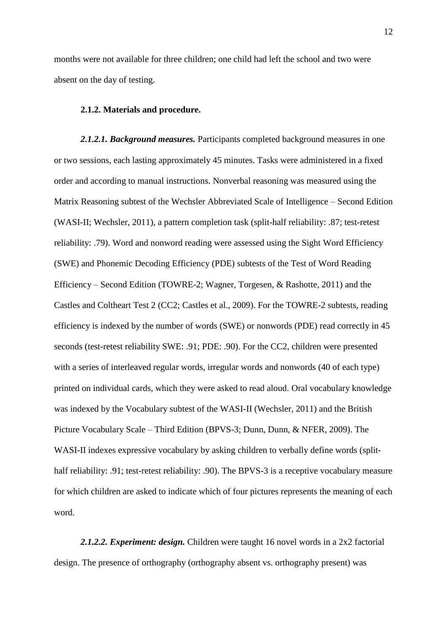months were not available for three children; one child had left the school and two were absent on the day of testing.

#### **2.1.2. Materials and procedure.**

*2.1.2.1. Background measures.* Participants completed background measures in one or two sessions, each lasting approximately 45 minutes. Tasks were administered in a fixed order and according to manual instructions. Nonverbal reasoning was measured using the Matrix Reasoning subtest of the Wechsler Abbreviated Scale of Intelligence – Second Edition (WASI-II; Wechsler, 2011), a pattern completion task (split-half reliability: .87; test-retest reliability: .79). Word and nonword reading were assessed using the Sight Word Efficiency (SWE) and Phonemic Decoding Efficiency (PDE) subtests of the Test of Word Reading Efficiency – Second Edition (TOWRE-2; Wagner, Torgesen, & Rashotte, 2011) and the Castles and Coltheart Test 2 (CC2; Castles et al., 2009). For the TOWRE-2 subtests, reading efficiency is indexed by the number of words (SWE) or nonwords (PDE) read correctly in 45 seconds (test-retest reliability SWE: .91; PDE: .90). For the CC2, children were presented with a series of interleaved regular words, irregular words and nonwords (40 of each type) printed on individual cards, which they were asked to read aloud. Oral vocabulary knowledge was indexed by the Vocabulary subtest of the WASI-II (Wechsler, 2011) and the British Picture Vocabulary Scale – Third Edition (BPVS-3; Dunn, Dunn, & NFER, 2009). The WASI-II indexes expressive vocabulary by asking children to verbally define words (splithalf reliability: .91; test-retest reliability: .90). The BPVS-3 is a receptive vocabulary measure for which children are asked to indicate which of four pictures represents the meaning of each word.

*2.1.2.2. Experiment: design.* Children were taught 16 novel words in a 2x2 factorial design. The presence of orthography (orthography absent vs. orthography present) was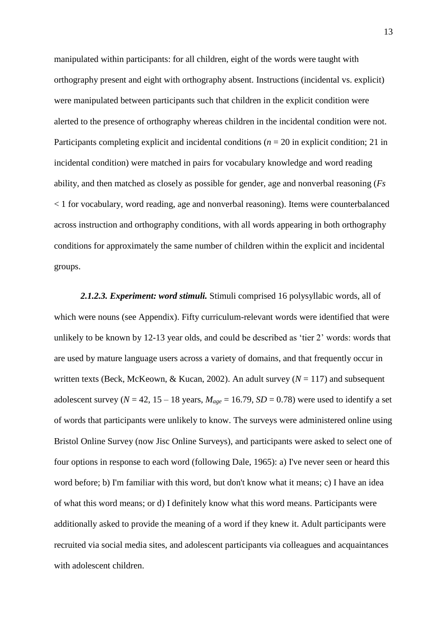manipulated within participants: for all children, eight of the words were taught with orthography present and eight with orthography absent. Instructions (incidental vs. explicit) were manipulated between participants such that children in the explicit condition were alerted to the presence of orthography whereas children in the incidental condition were not. Participants completing explicit and incidental conditions (*n* = 20 in explicit condition; 21 in incidental condition) were matched in pairs for vocabulary knowledge and word reading ability, and then matched as closely as possible for gender, age and nonverbal reasoning (*Fs* < 1 for vocabulary, word reading, age and nonverbal reasoning). Items were counterbalanced across instruction and orthography conditions, with all words appearing in both orthography conditions for approximately the same number of children within the explicit and incidental groups.

*2.1.2.3. Experiment: word stimuli.* Stimuli comprised 16 polysyllabic words, all of which were nouns (see Appendix). Fifty curriculum-relevant words were identified that were unlikely to be known by 12-13 year olds, and could be described as 'tier 2' words: words that are used by mature language users across a variety of domains, and that frequently occur in written texts (Beck, McKeown, & Kucan, 2002). An adult survey ( $N = 117$ ) and subsequent adolescent survey ( $N = 42$ , 15 – 18 years,  $M_{\text{age}} = 16.79$ ,  $SD = 0.78$ ) were used to identify a set of words that participants were unlikely to know. The surveys were administered online using Bristol Online Survey (now Jisc Online Surveys), and participants were asked to select one of four options in response to each word (following Dale, 1965): a) I've never seen or heard this word before; b) I'm familiar with this word, but don't know what it means; c) I have an idea of what this word means; or d) I definitely know what this word means. Participants were additionally asked to provide the meaning of a word if they knew it. Adult participants were recruited via social media sites, and adolescent participants via colleagues and acquaintances with adolescent children.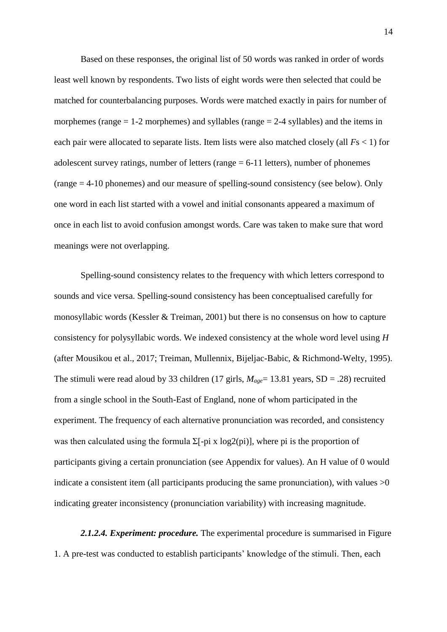Based on these responses, the original list of 50 words was ranked in order of words least well known by respondents. Two lists of eight words were then selected that could be matched for counterbalancing purposes. Words were matched exactly in pairs for number of morphemes (range  $= 1-2$  morphemes) and syllables (range  $= 2-4$  syllables) and the items in each pair were allocated to separate lists. Item lists were also matched closely (all *F*s < 1) for adolescent survey ratings, number of letters (range  $= 6-11$  letters), number of phonemes (range = 4-10 phonemes) and our measure of spelling-sound consistency (see below). Only one word in each list started with a vowel and initial consonants appeared a maximum of once in each list to avoid confusion amongst words. Care was taken to make sure that word meanings were not overlapping.

Spelling-sound consistency relates to the frequency with which letters correspond to sounds and vice versa. Spelling-sound consistency has been conceptualised carefully for monosyllabic words (Kessler & Treiman, 2001) but there is no consensus on how to capture consistency for polysyllabic words. We indexed consistency at the whole word level using *H* (after Mousikou et al., 2017; Treiman, Mullennix, Bijeljac-Babic, & Richmond-Welty, 1995). The stimuli were read aloud by 33 children (17 girls,  $M_{age}$  = 13.81 years, SD = .28) recruited from a single school in the South-East of England, none of whom participated in the experiment. The frequency of each alternative pronunciation was recorded, and consistency was then calculated using the formula  $\Sigma$ [-pi x log2(pi)], where pi is the proportion of participants giving a certain pronunciation (see Appendix for values). An H value of 0 would indicate a consistent item (all participants producing the same pronunciation), with values  $>0$ indicating greater inconsistency (pronunciation variability) with increasing magnitude.

*2.1.2.4. Experiment: procedure.* The experimental procedure is summarised in Figure 1. A pre-test was conducted to establish participants' knowledge of the stimuli. Then, each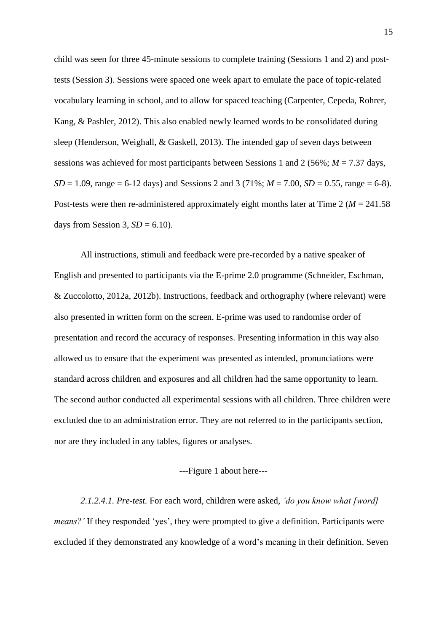child was seen for three 45-minute sessions to complete training (Sessions 1 and 2) and posttests (Session 3). Sessions were spaced one week apart to emulate the pace of topic-related vocabulary learning in school, and to allow for spaced teaching (Carpenter, Cepeda, Rohrer, Kang, & Pashler, 2012). This also enabled newly learned words to be consolidated during sleep (Henderson, Weighall, & Gaskell, 2013). The intended gap of seven days between sessions was achieved for most participants between Sessions 1 and 2 (56%; *M* = 7.37 days,  $SD = 1.09$ , range = 6-12 days) and Sessions 2 and 3 (71%;  $M = 7.00$ ,  $SD = 0.55$ , range = 6-8). Post-tests were then re-administered approximately eight months later at Time 2 (*M* = 241.58 days from Session 3,  $SD = 6.10$ ).

All instructions, stimuli and feedback were pre-recorded by a native speaker of English and presented to participants via the E-prime 2.0 programme (Schneider, Eschman, & Zuccolotto, 2012a, 2012b). Instructions, feedback and orthography (where relevant) were also presented in written form on the screen. E-prime was used to randomise order of presentation and record the accuracy of responses. Presenting information in this way also allowed us to ensure that the experiment was presented as intended, pronunciations were standard across children and exposures and all children had the same opportunity to learn. The second author conducted all experimental sessions with all children. Three children were excluded due to an administration error. They are not referred to in the participants section, nor are they included in any tables, figures or analyses.

---Figure 1 about here---

*2.1.2.4.1. Pre-test.* For each word, children were asked, *'do you know what [word] means?'* If they responded 'yes', they were prompted to give a definition. Participants were excluded if they demonstrated any knowledge of a word's meaning in their definition. Seven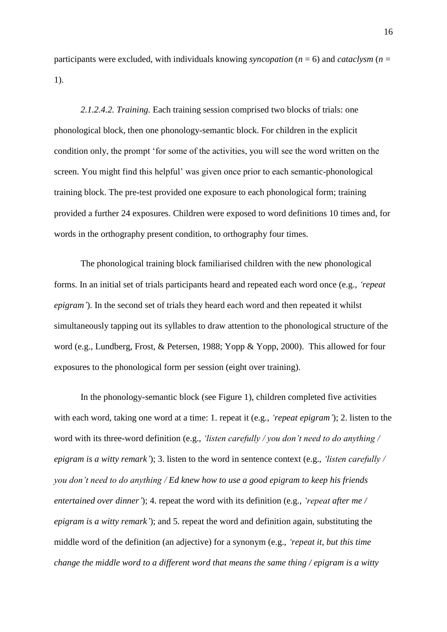participants were excluded, with individuals knowing *syncopation* (*n* = 6) and *cataclysm* (*n* = 1).

*2.1.2.4.2. Training.* Each training session comprised two blocks of trials: one phonological block, then one phonology-semantic block. For children in the explicit condition only, the prompt 'for some of the activities, you will see the word written on the screen. You might find this helpful' was given once prior to each semantic-phonological training block. The pre-test provided one exposure to each phonological form; training provided a further 24 exposures. Children were exposed to word definitions 10 times and, for words in the orthography present condition, to orthography four times.

The phonological training block familiarised children with the new phonological forms. In an initial set of trials participants heard and repeated each word once (e.g., *'repeat epigram'*). In the second set of trials they heard each word and then repeated it whilst simultaneously tapping out its syllables to draw attention to the phonological structure of the word (e.g., Lundberg, Frost, & Petersen, 1988; Yopp & Yopp, 2000). This allowed for four exposures to the phonological form per session (eight over training).

In the phonology-semantic block (see Figure 1), children completed five activities with each word, taking one word at a time: 1. repeat it (e.g., *'repeat epigram'*); 2. listen to the word with its three-word definition (e.g., *'listen carefully / you don't need to do anything / epigram is a witty remark'*); 3. listen to the word in sentence context (e.g., *'listen carefully / you don't need to do anything / Ed knew how to use a good epigram to keep his friends entertained over dinner'*); 4. repeat the word with its definition (e.g., *'repeat after me / epigram is a witty remark'*); and 5. repeat the word and definition again, substituting the middle word of the definition (an adjective) for a synonym (e.g., *'repeat it, but this time change the middle word to a different word that means the same thing / epigram is a witty*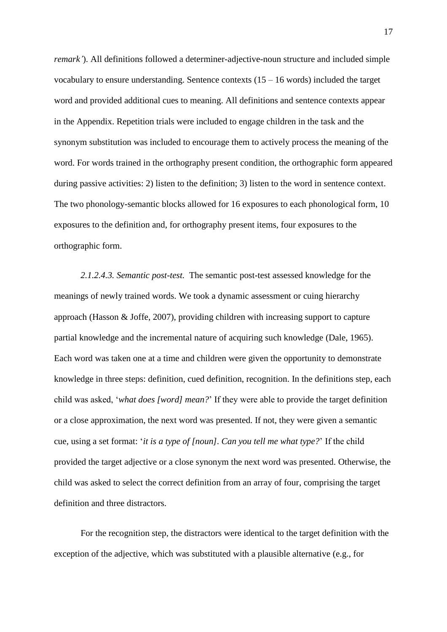*remark'*). All definitions followed a determiner-adjective-noun structure and included simple vocabulary to ensure understanding. Sentence contexts  $(15 - 16$  words) included the target word and provided additional cues to meaning. All definitions and sentence contexts appear in the Appendix. Repetition trials were included to engage children in the task and the synonym substitution was included to encourage them to actively process the meaning of the word. For words trained in the orthography present condition, the orthographic form appeared during passive activities: 2) listen to the definition; 3) listen to the word in sentence context. The two phonology-semantic blocks allowed for 16 exposures to each phonological form, 10 exposures to the definition and, for orthography present items, four exposures to the orthographic form.

*2.1.2.4.3. Semantic post-test.* The semantic post-test assessed knowledge for the meanings of newly trained words. We took a dynamic assessment or cuing hierarchy approach (Hasson & Joffe, 2007), providing children with increasing support to capture partial knowledge and the incremental nature of acquiring such knowledge (Dale, 1965). Each word was taken one at a time and children were given the opportunity to demonstrate knowledge in three steps: definition, cued definition, recognition. In the definitions step, each child was asked, '*what does [word] mean?*' If they were able to provide the target definition or a close approximation, the next word was presented. If not, they were given a semantic cue, using a set format: '*it is a type of [noun]. Can you tell me what type?*' If the child provided the target adjective or a close synonym the next word was presented. Otherwise, the child was asked to select the correct definition from an array of four, comprising the target definition and three distractors.

For the recognition step, the distractors were identical to the target definition with the exception of the adjective, which was substituted with a plausible alternative (e.g., for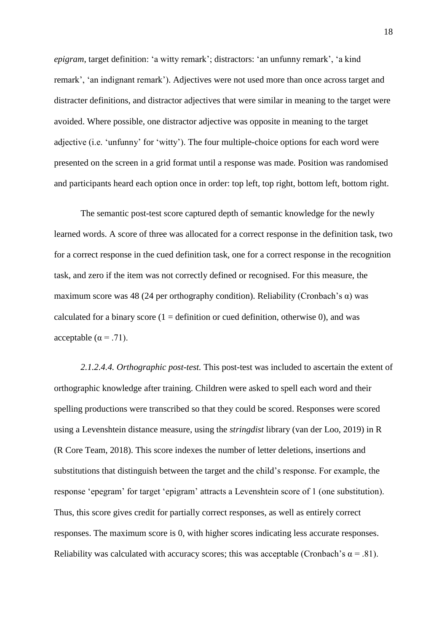*epigram*, target definition: 'a witty remark'; distractors: 'an unfunny remark', 'a kind remark', 'an indignant remark'). Adjectives were not used more than once across target and distracter definitions, and distractor adjectives that were similar in meaning to the target were avoided. Where possible, one distractor adjective was opposite in meaning to the target adjective (i.e. 'unfunny' for 'witty'). The four multiple-choice options for each word were presented on the screen in a grid format until a response was made. Position was randomised and participants heard each option once in order: top left, top right, bottom left, bottom right.

The semantic post-test score captured depth of semantic knowledge for the newly learned words. A score of three was allocated for a correct response in the definition task, two for a correct response in the cued definition task, one for a correct response in the recognition task, and zero if the item was not correctly defined or recognised. For this measure, the maximum score was 48 (24 per orthography condition). Reliability (Cronbach's  $\alpha$ ) was calculated for a binary score  $(1 = definition or cued definition, otherwise 0)$ , and was acceptable ( $\alpha$  = .71).

*2.1.2.4.4. Orthographic post-test.* This post-test was included to ascertain the extent of orthographic knowledge after training. Children were asked to spell each word and their spelling productions were transcribed so that they could be scored. Responses were scored using a Levenshtein distance measure, using the *stringdist* library (van der Loo, 2019) in R (R Core Team, 2018). This score indexes the number of letter deletions, insertions and substitutions that distinguish between the target and the child's response. For example, the response 'epegram' for target 'epigram' attracts a Levenshtein score of 1 (one substitution). Thus, this score gives credit for partially correct responses, as well as entirely correct responses. The maximum score is 0, with higher scores indicating less accurate responses. Reliability was calculated with accuracy scores; this was acceptable (Cronbach's  $\alpha = .81$ ).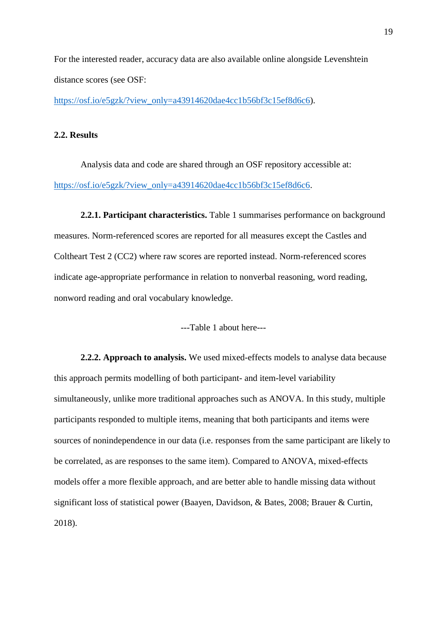For the interested reader, accuracy data are also available online alongside Levenshtein distance scores (see OSF:

[https://osf.io/e5gzk/?view\\_only=a43914620dae4cc1b56bf3c15ef8d6c6\)](https://osf.io/e5gzk/?view_only=a43914620dae4cc1b56bf3c15ef8d6c6).

#### **2.2. Results**

Analysis data and code are shared through an OSF repository accessible at: [https://osf.io/e5gzk/?view\\_only=a43914620dae4cc1b56bf3c15ef8d6c6.](https://osf.io/e5gzk/?view_only=a43914620dae4cc1b56bf3c15ef8d6c6)

**2.2.1. Participant characteristics.** Table 1 summarises performance on background measures. Norm-referenced scores are reported for all measures except the Castles and Coltheart Test 2 (CC2) where raw scores are reported instead. Norm-referenced scores indicate age-appropriate performance in relation to nonverbal reasoning, word reading, nonword reading and oral vocabulary knowledge.

---Table 1 about here---

**2.2.2. Approach to analysis.** We used mixed-effects models to analyse data because this approach permits modelling of both participant- and item-level variability simultaneously, unlike more traditional approaches such as ANOVA. In this study, multiple participants responded to multiple items, meaning that both participants and items were sources of nonindependence in our data (i.e. responses from the same participant are likely to be correlated, as are responses to the same item). Compared to ANOVA, mixed-effects models offer a more flexible approach, and are better able to handle missing data without significant loss of statistical power (Baayen, Davidson, & Bates, 2008; Brauer & Curtin, 2018).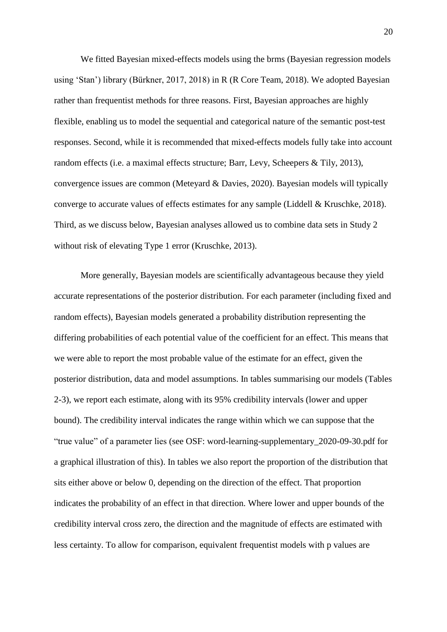We fitted Bayesian mixed-effects models using the brms (Bayesian regression models using 'Stan') library (Bürkner, 2017, 2018) in R (R Core Team, 2018). We adopted Bayesian rather than frequentist methods for three reasons. First, Bayesian approaches are highly flexible, enabling us to model the sequential and categorical nature of the semantic post-test responses. Second, while it is recommended that mixed-effects models fully take into account random effects (i.e. a maximal effects structure; Barr, Levy, Scheepers & Tily, 2013), convergence issues are common (Meteyard & Davies, 2020). Bayesian models will typically converge to accurate values of effects estimates for any sample (Liddell & Kruschke, 2018). Third, as we discuss below, Bayesian analyses allowed us to combine data sets in Study 2 without risk of elevating Type 1 error (Kruschke, 2013).

More generally, Bayesian models are scientifically advantageous because they yield accurate representations of the posterior distribution. For each parameter (including fixed and random effects), Bayesian models generated a probability distribution representing the differing probabilities of each potential value of the coefficient for an effect. This means that we were able to report the most probable value of the estimate for an effect, given the posterior distribution, data and model assumptions. In tables summarising our models (Tables 2-3), we report each estimate, along with its 95% credibility intervals (lower and upper bound). The credibility interval indicates the range within which we can suppose that the "true value" of a parameter lies (see OSF: word-learning-supplementary\_2020-09-30.pdf for a graphical illustration of this). In tables we also report the proportion of the distribution that sits either above or below 0, depending on the direction of the effect. That proportion indicates the probability of an effect in that direction. Where lower and upper bounds of the credibility interval cross zero, the direction and the magnitude of effects are estimated with less certainty. To allow for comparison, equivalent frequentist models with p values are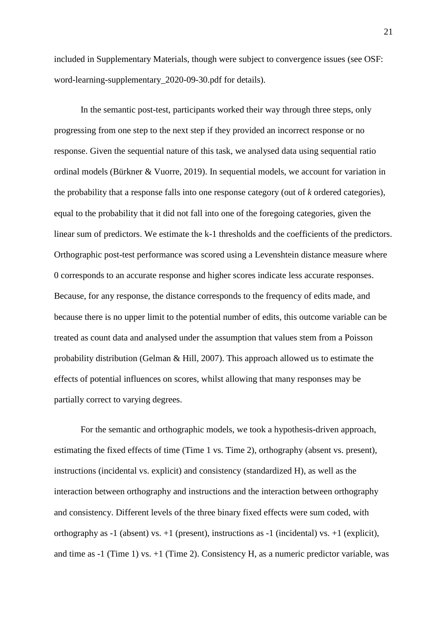included in Supplementary Materials, though were subject to convergence issues (see OSF: word-learning-supplementary\_2020-09-30.pdf for details).

In the semantic post-test, participants worked their way through three steps, only progressing from one step to the next step if they provided an incorrect response or no response. Given the sequential nature of this task, we analysed data using sequential ratio ordinal models (Bürkner & Vuorre, 2019). In sequential models, we account for variation in the probability that a response falls into one response category (out of *k* ordered categories), equal to the probability that it did not fall into one of the foregoing categories, given the linear sum of predictors. We estimate the k-1 thresholds and the coefficients of the predictors. Orthographic post-test performance was scored using a Levenshtein distance measure where 0 corresponds to an accurate response and higher scores indicate less accurate responses. Because, for any response, the distance corresponds to the frequency of edits made, and because there is no upper limit to the potential number of edits, this outcome variable can be treated as count data and analysed under the assumption that values stem from a Poisson probability distribution (Gelman & Hill, 2007). This approach allowed us to estimate the effects of potential influences on scores, whilst allowing that many responses may be partially correct to varying degrees.

For the semantic and orthographic models, we took a hypothesis-driven approach, estimating the fixed effects of time (Time 1 vs. Time 2), orthography (absent vs. present), instructions (incidental vs. explicit) and consistency (standardized H), as well as the interaction between orthography and instructions and the interaction between orthography and consistency. Different levels of the three binary fixed effects were sum coded, with orthography as  $-1$  (absent) vs.  $+1$  (present), instructions as  $-1$  (incidental) vs.  $+1$  (explicit), and time as -1 (Time 1) vs. +1 (Time 2). Consistency H, as a numeric predictor variable, was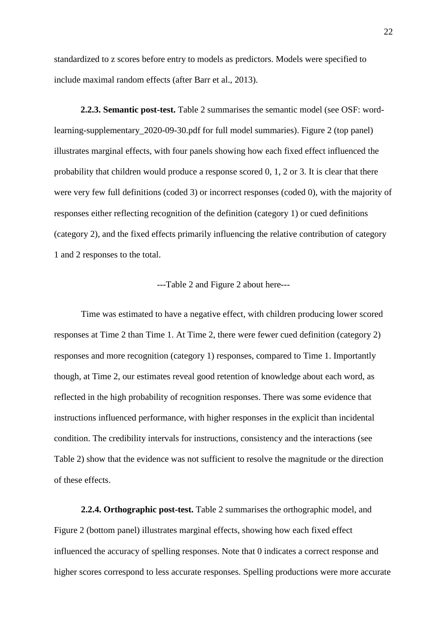standardized to z scores before entry to models as predictors. Models were specified to include maximal random effects (after Barr et al., 2013).

**2.2.3. Semantic post-test.** Table 2 summarises the semantic model (see OSF: wordlearning-supplementary\_2020-09-30.pdf for full model summaries). Figure 2 (top panel) illustrates marginal effects, with four panels showing how each fixed effect influenced the probability that children would produce a response scored 0, 1, 2 or 3. It is clear that there were very few full definitions (coded 3) or incorrect responses (coded 0), with the majority of responses either reflecting recognition of the definition (category 1) or cued definitions (category 2), and the fixed effects primarily influencing the relative contribution of category 1 and 2 responses to the total.

#### ---Table 2 and Figure 2 about here---

Time was estimated to have a negative effect, with children producing lower scored responses at Time 2 than Time 1. At Time 2, there were fewer cued definition (category 2) responses and more recognition (category 1) responses, compared to Time 1. Importantly though, at Time 2, our estimates reveal good retention of knowledge about each word, as reflected in the high probability of recognition responses. There was some evidence that instructions influenced performance, with higher responses in the explicit than incidental condition. The credibility intervals for instructions, consistency and the interactions (see Table 2) show that the evidence was not sufficient to resolve the magnitude or the direction of these effects.

**2.2.4. Orthographic post-test.** Table 2 summarises the orthographic model, and Figure 2 (bottom panel) illustrates marginal effects, showing how each fixed effect influenced the accuracy of spelling responses. Note that 0 indicates a correct response and higher scores correspond to less accurate responses. Spelling productions were more accurate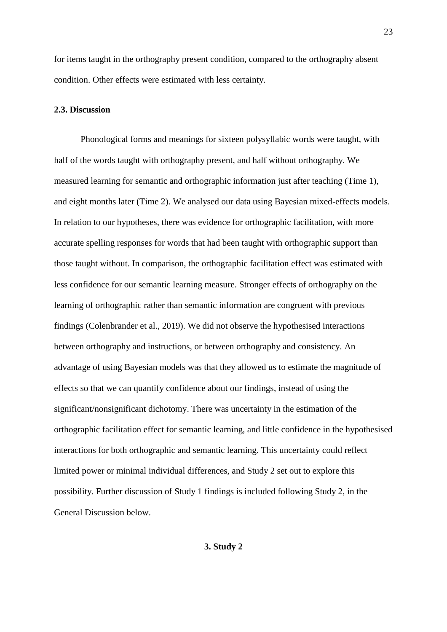for items taught in the orthography present condition, compared to the orthography absent condition. Other effects were estimated with less certainty.

#### **2.3. Discussion**

Phonological forms and meanings for sixteen polysyllabic words were taught, with half of the words taught with orthography present, and half without orthography. We measured learning for semantic and orthographic information just after teaching (Time 1), and eight months later (Time 2). We analysed our data using Bayesian mixed-effects models. In relation to our hypotheses, there was evidence for orthographic facilitation, with more accurate spelling responses for words that had been taught with orthographic support than those taught without. In comparison, the orthographic facilitation effect was estimated with less confidence for our semantic learning measure. Stronger effects of orthography on the learning of orthographic rather than semantic information are congruent with previous findings (Colenbrander et al., 2019). We did not observe the hypothesised interactions between orthography and instructions, or between orthography and consistency. An advantage of using Bayesian models was that they allowed us to estimate the magnitude of effects so that we can quantify confidence about our findings, instead of using the significant/nonsignificant dichotomy. There was uncertainty in the estimation of the orthographic facilitation effect for semantic learning, and little confidence in the hypothesised interactions for both orthographic and semantic learning. This uncertainty could reflect limited power or minimal individual differences, and Study 2 set out to explore this possibility. Further discussion of Study 1 findings is included following Study 2, in the General Discussion below.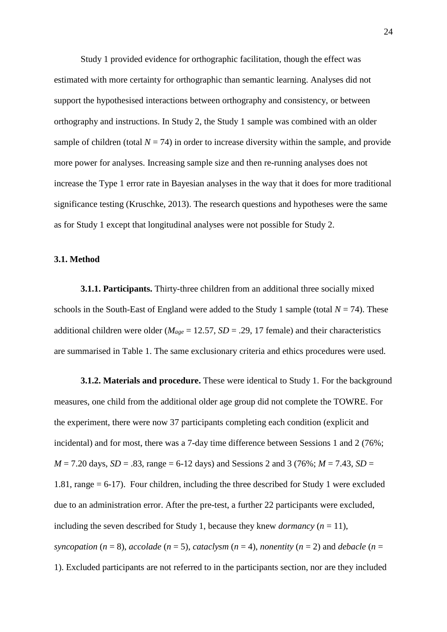Study 1 provided evidence for orthographic facilitation, though the effect was estimated with more certainty for orthographic than semantic learning. Analyses did not support the hypothesised interactions between orthography and consistency, or between orthography and instructions. In Study 2, the Study 1 sample was combined with an older sample of children (total  $N = 74$ ) in order to increase diversity within the sample, and provide more power for analyses. Increasing sample size and then re-running analyses does not increase the Type 1 error rate in Bayesian analyses in the way that it does for more traditional significance testing (Kruschke, 2013). The research questions and hypotheses were the same as for Study 1 except that longitudinal analyses were not possible for Study 2.

#### **3.1. Method**

**3.1.1. Participants.** Thirty-three children from an additional three socially mixed schools in the South-East of England were added to the Study 1 sample (total  $N = 74$ ). These additional children were older ( $M_{age} = 12.57$ ,  $SD = .29$ , 17 female) and their characteristics are summarised in Table 1. The same exclusionary criteria and ethics procedures were used.

**3.1.2. Materials and procedure.** These were identical to Study 1. For the background measures, one child from the additional older age group did not complete the TOWRE. For the experiment, there were now 37 participants completing each condition (explicit and incidental) and for most, there was a 7-day time difference between Sessions 1 and 2 (76%;  $M = 7.20$  days,  $SD = .83$ , range = 6-12 days) and Sessions 2 and 3 (76%;  $M = 7.43$ ,  $SD =$ 1.81, range = 6-17). Four children, including the three described for Study 1 were excluded due to an administration error. After the pre-test, a further 22 participants were excluded, including the seven described for Study 1, because they knew *dormancy*  $(n = 11)$ , *syncopation*  $(n = 8)$ , *accolade*  $(n = 5)$ , *cataclysm*  $(n = 4)$ , *nonentity*  $(n = 2)$  and *debacle*  $(n = 1)$ 1). Excluded participants are not referred to in the participants section, nor are they included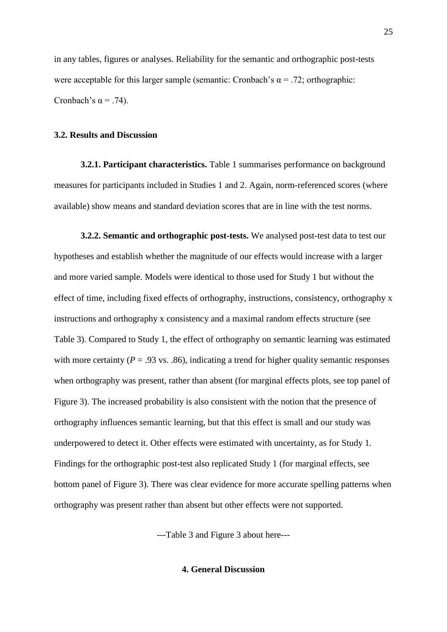in any tables, figures or analyses. Reliability for the semantic and orthographic post-tests were acceptable for this larger sample (semantic: Cronbach's  $\alpha = .72$ ; orthographic: Cronbach's  $\alpha$  = .74).

#### **3.2. Results and Discussion**

**3.2.1. Participant characteristics.** Table 1 summarises performance on background measures for participants included in Studies 1 and 2. Again, norm-referenced scores (where available) show means and standard deviation scores that are in line with the test norms.

**3.2.2. Semantic and orthographic post-tests.** We analysed post-test data to test our hypotheses and establish whether the magnitude of our effects would increase with a larger and more varied sample. Models were identical to those used for Study 1 but without the effect of time, including fixed effects of orthography, instructions, consistency, orthography x instructions and orthography x consistency and a maximal random effects structure (see Table 3). Compared to Study 1, the effect of orthography on semantic learning was estimated with more certainty ( $P = .93$  vs. .86), indicating a trend for higher quality semantic responses when orthography was present, rather than absent (for marginal effects plots, see top panel of Figure 3). The increased probability is also consistent with the notion that the presence of orthography influences semantic learning, but that this effect is small and our study was underpowered to detect it. Other effects were estimated with uncertainty, as for Study 1. Findings for the orthographic post-test also replicated Study 1 (for marginal effects, see bottom panel of Figure 3). There was clear evidence for more accurate spelling patterns when orthography was present rather than absent but other effects were not supported.

---Table 3 and Figure 3 about here---

**4. General Discussion**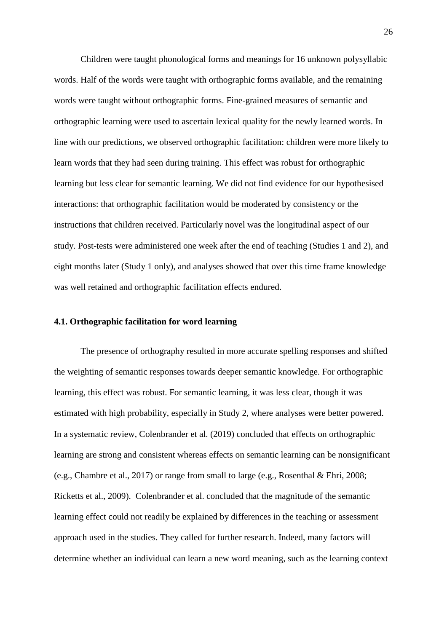Children were taught phonological forms and meanings for 16 unknown polysyllabic words. Half of the words were taught with orthographic forms available, and the remaining words were taught without orthographic forms. Fine-grained measures of semantic and orthographic learning were used to ascertain lexical quality for the newly learned words. In line with our predictions, we observed orthographic facilitation: children were more likely to learn words that they had seen during training. This effect was robust for orthographic learning but less clear for semantic learning. We did not find evidence for our hypothesised interactions: that orthographic facilitation would be moderated by consistency or the instructions that children received. Particularly novel was the longitudinal aspect of our study. Post-tests were administered one week after the end of teaching (Studies 1 and 2), and eight months later (Study 1 only), and analyses showed that over this time frame knowledge was well retained and orthographic facilitation effects endured.

#### **4.1. Orthographic facilitation for word learning**

The presence of orthography resulted in more accurate spelling responses and shifted the weighting of semantic responses towards deeper semantic knowledge. For orthographic learning, this effect was robust. For semantic learning, it was less clear, though it was estimated with high probability, especially in Study 2, where analyses were better powered. In a systematic review, Colenbrander et al. (2019) concluded that effects on orthographic learning are strong and consistent whereas effects on semantic learning can be nonsignificant (e.g., Chambre et al., 2017) or range from small to large (e.g., Rosenthal & Ehri, 2008; Ricketts et al., 2009). Colenbrander et al. concluded that the magnitude of the semantic learning effect could not readily be explained by differences in the teaching or assessment approach used in the studies. They called for further research. Indeed, many factors will determine whether an individual can learn a new word meaning, such as the learning context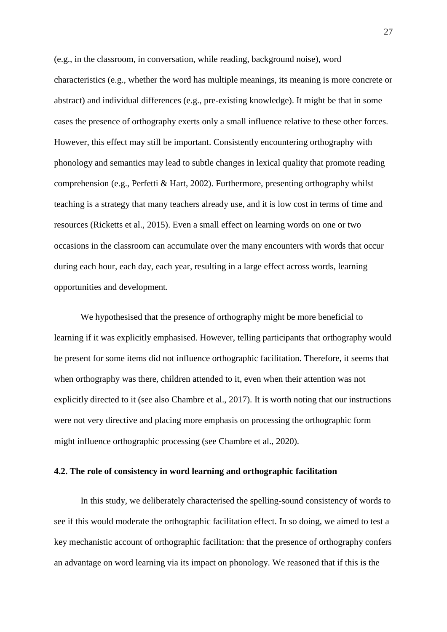(e.g., in the classroom, in conversation, while reading, background noise), word characteristics (e.g., whether the word has multiple meanings, its meaning is more concrete or abstract) and individual differences (e.g., pre-existing knowledge). It might be that in some cases the presence of orthography exerts only a small influence relative to these other forces. However, this effect may still be important. Consistently encountering orthography with phonology and semantics may lead to subtle changes in lexical quality that promote reading comprehension (e.g., Perfetti & Hart, 2002). Furthermore, presenting orthography whilst teaching is a strategy that many teachers already use, and it is low cost in terms of time and resources (Ricketts et al., 2015). Even a small effect on learning words on one or two occasions in the classroom can accumulate over the many encounters with words that occur during each hour, each day, each year, resulting in a large effect across words, learning opportunities and development.

We hypothesised that the presence of orthography might be more beneficial to learning if it was explicitly emphasised. However, telling participants that orthography would be present for some items did not influence orthographic facilitation. Therefore, it seems that when orthography was there, children attended to it, even when their attention was not explicitly directed to it (see also Chambre et al., 2017). It is worth noting that our instructions were not very directive and placing more emphasis on processing the orthographic form might influence orthographic processing (see Chambre et al., 2020).

#### **4.2. The role of consistency in word learning and orthographic facilitation**

In this study, we deliberately characterised the spelling-sound consistency of words to see if this would moderate the orthographic facilitation effect. In so doing, we aimed to test a key mechanistic account of orthographic facilitation: that the presence of orthography confers an advantage on word learning via its impact on phonology. We reasoned that if this is the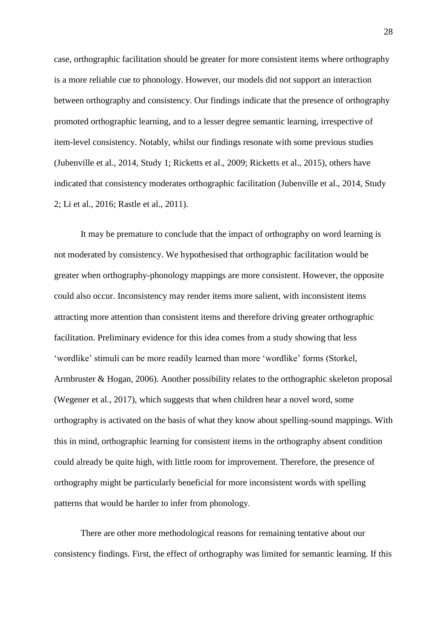case, orthographic facilitation should be greater for more consistent items where orthography is a more reliable cue to phonology. However, our models did not support an interaction between orthography and consistency. Our findings indicate that the presence of orthography promoted orthographic learning, and to a lesser degree semantic learning, irrespective of item-level consistency. Notably, whilst our findings resonate with some previous studies (Jubenville et al., 2014, Study 1; Ricketts et al., 2009; Ricketts et al., 2015), others have indicated that consistency moderates orthographic facilitation (Jubenville et al., 2014, Study 2; Li et al., 2016; Rastle et al., 2011).

It may be premature to conclude that the impact of orthography on word learning is not moderated by consistency. We hypothesised that orthographic facilitation would be greater when orthography-phonology mappings are more consistent. However, the opposite could also occur. Inconsistency may render items more salient, with inconsistent items attracting more attention than consistent items and therefore driving greater orthographic facilitation. Preliminary evidence for this idea comes from a study showing that less 'wordlike' stimuli can be more readily learned than more 'wordlike' forms (Storkel, Armbruster & Hogan, 2006). Another possibility relates to the orthographic skeleton proposal (Wegener et al., 2017), which suggests that when children hear a novel word, some orthography is activated on the basis of what they know about spelling-sound mappings. With this in mind, orthographic learning for consistent items in the orthography absent condition could already be quite high, with little room for improvement. Therefore, the presence of orthography might be particularly beneficial for more inconsistent words with spelling patterns that would be harder to infer from phonology.

There are other more methodological reasons for remaining tentative about our consistency findings. First, the effect of orthography was limited for semantic learning. If this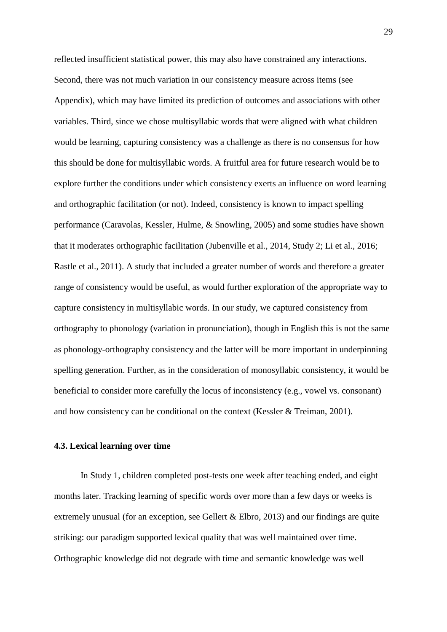reflected insufficient statistical power, this may also have constrained any interactions. Second, there was not much variation in our consistency measure across items (see Appendix), which may have limited its prediction of outcomes and associations with other variables. Third, since we chose multisyllabic words that were aligned with what children would be learning, capturing consistency was a challenge as there is no consensus for how this should be done for multisyllabic words. A fruitful area for future research would be to explore further the conditions under which consistency exerts an influence on word learning and orthographic facilitation (or not). Indeed, consistency is known to impact spelling performance (Caravolas, Kessler, Hulme, & Snowling, 2005) and some studies have shown that it moderates orthographic facilitation (Jubenville et al., 2014, Study 2; Li et al., 2016; Rastle et al., 2011). A study that included a greater number of words and therefore a greater range of consistency would be useful, as would further exploration of the appropriate way to capture consistency in multisyllabic words. In our study, we captured consistency from orthography to phonology (variation in pronunciation), though in English this is not the same as phonology-orthography consistency and the latter will be more important in underpinning spelling generation. Further, as in the consideration of monosyllabic consistency, it would be beneficial to consider more carefully the locus of inconsistency (e.g., vowel vs. consonant) and how consistency can be conditional on the context (Kessler & Treiman, 2001).

#### **4.3. Lexical learning over time**

In Study 1, children completed post-tests one week after teaching ended, and eight months later. Tracking learning of specific words over more than a few days or weeks is extremely unusual (for an exception, see Gellert & Elbro, 2013) and our findings are quite striking: our paradigm supported lexical quality that was well maintained over time. Orthographic knowledge did not degrade with time and semantic knowledge was well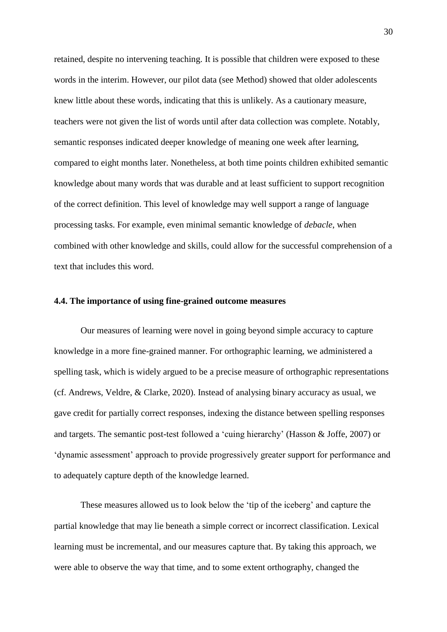retained, despite no intervening teaching. It is possible that children were exposed to these words in the interim. However, our pilot data (see Method) showed that older adolescents knew little about these words, indicating that this is unlikely. As a cautionary measure, teachers were not given the list of words until after data collection was complete. Notably, semantic responses indicated deeper knowledge of meaning one week after learning, compared to eight months later. Nonetheless, at both time points children exhibited semantic knowledge about many words that was durable and at least sufficient to support recognition of the correct definition. This level of knowledge may well support a range of language processing tasks. For example, even minimal semantic knowledge of *debacle*, when combined with other knowledge and skills, could allow for the successful comprehension of a text that includes this word.

#### **4.4. The importance of using fine-grained outcome measures**

Our measures of learning were novel in going beyond simple accuracy to capture knowledge in a more fine-grained manner. For orthographic learning, we administered a spelling task, which is widely argued to be a precise measure of orthographic representations (cf. Andrews, Veldre, & Clarke, 2020). Instead of analysing binary accuracy as usual, we gave credit for partially correct responses, indexing the distance between spelling responses and targets. The semantic post-test followed a 'cuing hierarchy' (Hasson & Joffe, 2007) or 'dynamic assessment' approach to provide progressively greater support for performance and to adequately capture depth of the knowledge learned.

These measures allowed us to look below the 'tip of the iceberg' and capture the partial knowledge that may lie beneath a simple correct or incorrect classification. Lexical learning must be incremental, and our measures capture that. By taking this approach, we were able to observe the way that time, and to some extent orthography, changed the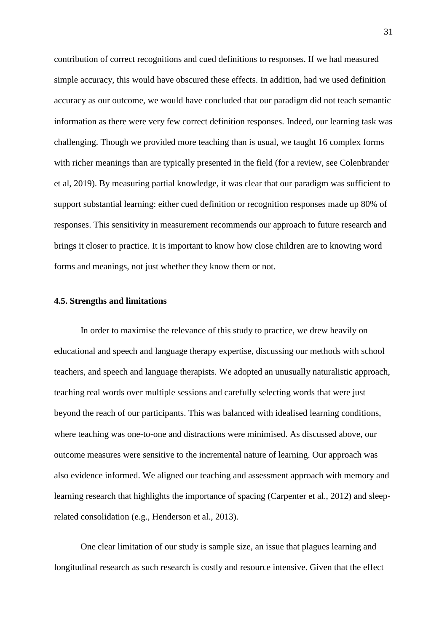contribution of correct recognitions and cued definitions to responses. If we had measured simple accuracy, this would have obscured these effects. In addition, had we used definition accuracy as our outcome, we would have concluded that our paradigm did not teach semantic information as there were very few correct definition responses. Indeed, our learning task was challenging. Though we provided more teaching than is usual, we taught 16 complex forms with richer meanings than are typically presented in the field (for a review, see Colenbrander et al, 2019). By measuring partial knowledge, it was clear that our paradigm was sufficient to support substantial learning: either cued definition or recognition responses made up 80% of responses. This sensitivity in measurement recommends our approach to future research and brings it closer to practice. It is important to know how close children are to knowing word forms and meanings, not just whether they know them or not.

#### **4.5. Strengths and limitations**

In order to maximise the relevance of this study to practice, we drew heavily on educational and speech and language therapy expertise, discussing our methods with school teachers, and speech and language therapists. We adopted an unusually naturalistic approach, teaching real words over multiple sessions and carefully selecting words that were just beyond the reach of our participants. This was balanced with idealised learning conditions, where teaching was one-to-one and distractions were minimised. As discussed above, our outcome measures were sensitive to the incremental nature of learning. Our approach was also evidence informed. We aligned our teaching and assessment approach with memory and learning research that highlights the importance of spacing (Carpenter et al., 2012) and sleeprelated consolidation (e.g., Henderson et al., 2013).

One clear limitation of our study is sample size, an issue that plagues learning and longitudinal research as such research is costly and resource intensive. Given that the effect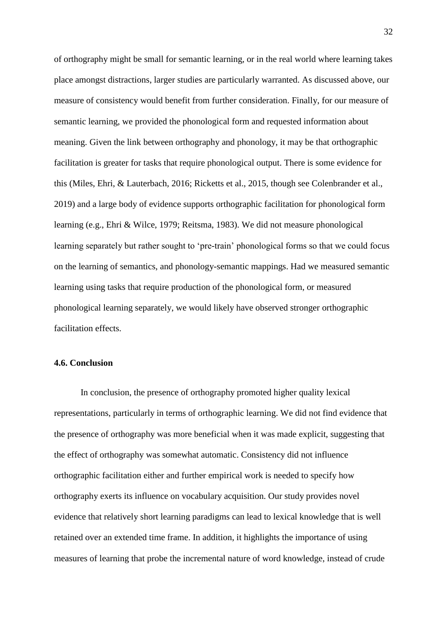of orthography might be small for semantic learning, or in the real world where learning takes place amongst distractions, larger studies are particularly warranted. As discussed above, our measure of consistency would benefit from further consideration. Finally, for our measure of semantic learning, we provided the phonological form and requested information about meaning. Given the link between orthography and phonology, it may be that orthographic facilitation is greater for tasks that require phonological output. There is some evidence for this (Miles, Ehri, & Lauterbach, 2016; Ricketts et al., 2015, though see Colenbrander et al., 2019) and a large body of evidence supports orthographic facilitation for phonological form learning (e.g., Ehri & Wilce, 1979; Reitsma, 1983). We did not measure phonological learning separately but rather sought to 'pre-train' phonological forms so that we could focus on the learning of semantics, and phonology-semantic mappings. Had we measured semantic learning using tasks that require production of the phonological form, or measured phonological learning separately, we would likely have observed stronger orthographic facilitation effects.

#### **4.6. Conclusion**

In conclusion, the presence of orthography promoted higher quality lexical representations, particularly in terms of orthographic learning. We did not find evidence that the presence of orthography was more beneficial when it was made explicit, suggesting that the effect of orthography was somewhat automatic. Consistency did not influence orthographic facilitation either and further empirical work is needed to specify how orthography exerts its influence on vocabulary acquisition. Our study provides novel evidence that relatively short learning paradigms can lead to lexical knowledge that is well retained over an extended time frame. In addition, it highlights the importance of using measures of learning that probe the incremental nature of word knowledge, instead of crude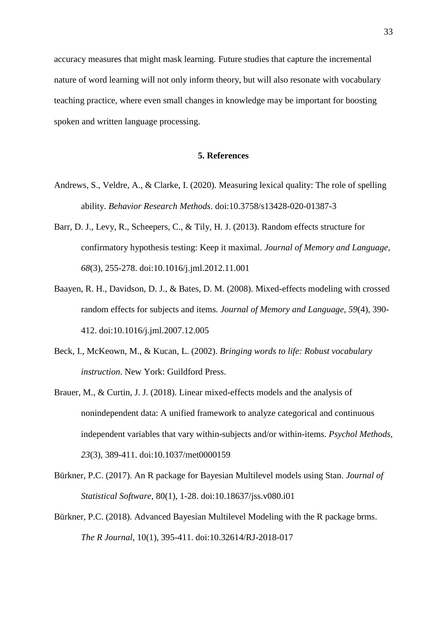accuracy measures that might mask learning. Future studies that capture the incremental nature of word learning will not only inform theory, but will also resonate with vocabulary teaching practice, where even small changes in knowledge may be important for boosting spoken and written language processing.

#### **5. References**

- Andrews, S., Veldre, A., & Clarke, I. (2020). Measuring lexical quality: The role of spelling ability. *Behavior Research Methods*. doi:10.3758/s13428-020-01387-3
- Barr, D. J., Levy, R., Scheepers, C., & Tily, H. J. (2013). Random effects structure for confirmatory hypothesis testing: Keep it maximal. *Journal of Memory and Language, 68*(3), 255-278. doi:10.1016/j.jml.2012.11.001
- Baayen, R. H., Davidson, D. J., & Bates, D. M. (2008). Mixed-effects modeling with crossed random effects for subjects and items. *Journal of Memory and Language, 59*(4), 390- 412. doi:10.1016/j.jml.2007.12.005
- Beck, I., McKeown, M., & Kucan, L. (2002). *Bringing words to life: Robust vocabulary instruction*. New York: Guildford Press.
- Brauer, M., & Curtin, J. J. (2018). Linear mixed-effects models and the analysis of nonindependent data: A unified framework to analyze categorical and continuous independent variables that vary within-subjects and/or within-items. *Psychol Methods, 23*(3), 389-411. doi:10.1037/met0000159
- Bürkner, P.C. (2017). An R package for Bayesian Multilevel models using Stan. *Journal of Statistical Software*, 80(1), 1-28. doi:10.18637/jss.v080.i01
- Bürkner, P.C. (2018). Advanced Bayesian Multilevel Modeling with the R package brms. *The R Journal,* 10(1), 395-411. doi:10.32614/RJ-2018-017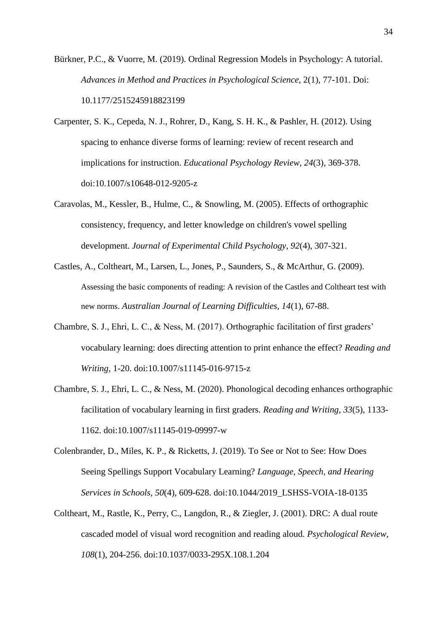Bürkner, P.C., & Vuorre, M. (2019). Ordinal Regression Models in Psychology: A tutorial. *Advances in Method and Practices in Psychological Science,* 2(1), 77-101. Doi: 10.1177/2515245918823199

- Carpenter, S. K., Cepeda, N. J., Rohrer, D., Kang, S. H. K., & Pashler, H. (2012). Using spacing to enhance diverse forms of learning: review of recent research and implications for instruction. *Educational Psychology Review, 24*(3), 369-378. doi:10.1007/s10648-012-9205-z
- Caravolas, M., Kessler, B., Hulme, C., & Snowling, M. (2005). Effects of orthographic consistency, frequency, and letter knowledge on children's vowel spelling development. *Journal of Experimental Child Psychology, 92*(4), 307-321.
- Castles, A., Coltheart, M., Larsen, L., Jones, P., Saunders, S., & McArthur, G. (2009). Assessing the basic components of reading: A revision of the Castles and Coltheart test with new norms. *Australian Journal of Learning Difficulties, 14*(1), 67-88.
- Chambre, S. J., Ehri, L. C., & Ness, M. (2017). Orthographic facilitation of first graders' vocabulary learning: does directing attention to print enhance the effect? *Reading and Writing*, 1-20. doi:10.1007/s11145-016-9715-z
- Chambre, S. J., Ehri, L. C., & Ness, M. (2020). Phonological decoding enhances orthographic facilitation of vocabulary learning in first graders. *Reading and Writing, 33*(5), 1133- 1162. doi:10.1007/s11145-019-09997-w
- Colenbrander, D., Miles, K. P., & Ricketts, J. (2019). To See or Not to See: How Does Seeing Spellings Support Vocabulary Learning? *Language, Speech, and Hearing Services in Schools, 50*(4), 609-628. doi:10.1044/2019\_LSHSS-VOIA-18-0135
- Coltheart, M., Rastle, K., Perry, C., Langdon, R., & Ziegler, J. (2001). DRC: A dual route cascaded model of visual word recognition and reading aloud. *Psychological Review, 108*(1), 204-256. doi:10.1037/0033-295X.108.1.204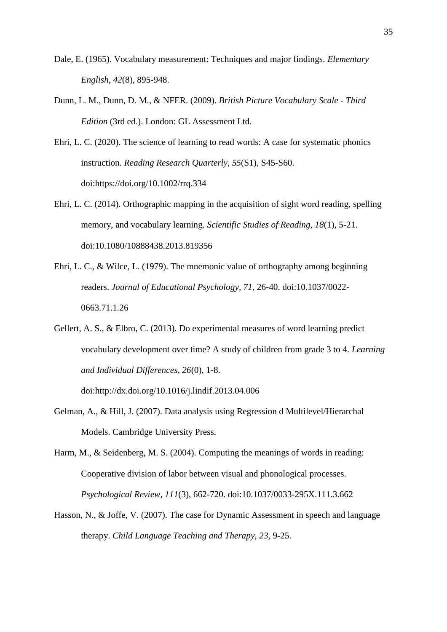- Dale, E. (1965). Vocabulary measurement: Techniques and major findings. *Elementary English, 42*(8), 895-948.
- Dunn, L. M., Dunn, D. M., & NFER. (2009). *British Picture Vocabulary Scale - Third Edition* (3rd ed.). London: GL Assessment Ltd.
- Ehri, L. C. (2020). The science of learning to read words: A case for systematic phonics instruction. *Reading Research Quarterly, 55*(S1), S45-S60. doi:https://doi.org/10.1002/rrq.334
- Ehri, L. C. (2014). Orthographic mapping in the acquisition of sight word reading, spelling memory, and vocabulary learning. *Scientific Studies of Reading, 18*(1), 5-21. doi:10.1080/10888438.2013.819356
- Ehri, L. C., & Wilce, L. (1979). The mnemonic value of orthography among beginning readers. *Journal of Educational Psychology, 71*, 26-40. doi:10.1037/0022- 0663.71.1.26
- Gellert, A. S., & Elbro, C. (2013). Do experimental measures of word learning predict vocabulary development over time? A study of children from grade 3 to 4. *Learning and Individual Differences, 26*(0), 1-8.

doi:http://dx.doi.org/10.1016/j.lindif.2013.04.006

- Gelman, A., & Hill, J. (2007). Data analysis using Regression d Multilevel/Hierarchal Models. Cambridge University Press.
- Harm, M., & Seidenberg, M. S. (2004). Computing the meanings of words in reading: Cooperative division of labor between visual and phonological processes. *Psychological Review, 111*(3), 662-720. doi:10.1037/0033-295X.111.3.662
- Hasson, N., & Joffe, V. (2007). The case for Dynamic Assessment in speech and language therapy. *Child Language Teaching and Therapy, 23*, 9-25.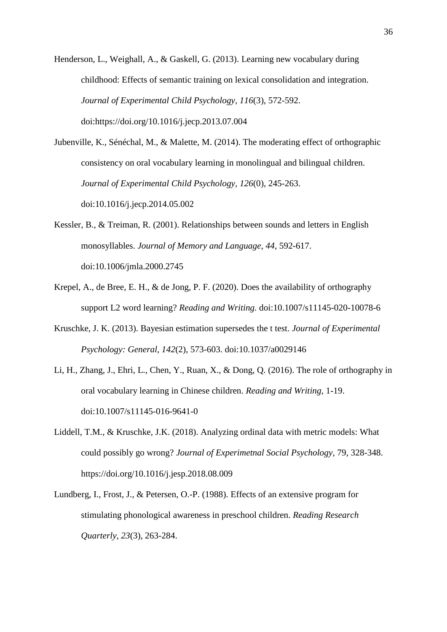Henderson, L., Weighall, A., & Gaskell, G. (2013). Learning new vocabulary during childhood: Effects of semantic training on lexical consolidation and integration. *Journal of Experimental Child Psychology, 116*(3), 572-592. doi:https://doi.org/10.1016/j.jecp.2013.07.004

Jubenville, K., Sénéchal, M., & Malette, M. (2014). The moderating effect of orthographic consistency on oral vocabulary learning in monolingual and bilingual children. *Journal of Experimental Child Psychology, 126*(0), 245-263. doi:10.1016/j.jecp.2014.05.002

- Kessler, B., & Treiman, R. (2001). Relationships between sounds and letters in English monosyllables. *Journal of Memory and Language, 44*, 592-617. doi:10.1006/jmla.2000.2745
- Krepel, A., de Bree, E. H., & de Jong, P. F. (2020). Does the availability of orthography support L2 word learning? *Reading and Writing.* doi:10.1007/s11145-020-10078-6
- Kruschke, J. K. (2013). Bayesian estimation supersedes the t test. *Journal of Experimental Psychology: General, 142*(2), 573-603. doi:10.1037/a0029146
- Li, H., Zhang, J., Ehri, L., Chen, Y., Ruan, X., & Dong, Q. (2016). The role of orthography in oral vocabulary learning in Chinese children. *Reading and Writing*, 1-19. doi:10.1007/s11145-016-9641-0
- Liddell, T.M., & Kruschke, J.K. (2018). Analyzing ordinal data with metric models: What could possibly go wrong? *Journal of Experimetnal Social Psychology,* 79, 328-348. [https://doi.org/10.1016/j.jesp.2018.08.009](https://psycnet.apa.org/doi/10.1016/j.jesp.2018.08.009)
- Lundberg, I., Frost, J., & Petersen, O.-P. (1988). Effects of an extensive program for stimulating phonological awareness in preschool children. *Reading Research Quarterly, 23*(3), 263-284.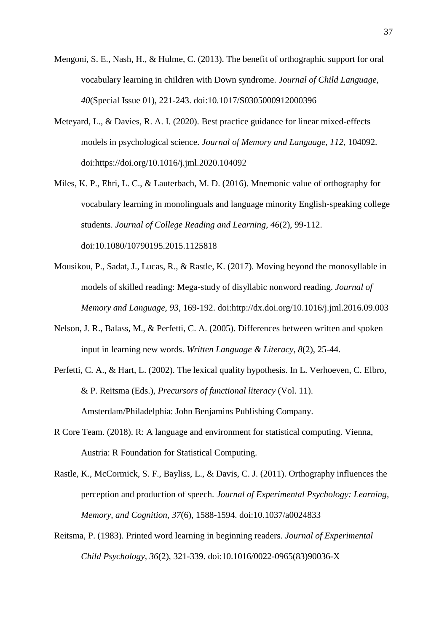- Mengoni, S. E., Nash, H., & Hulme, C. (2013). The benefit of orthographic support for oral vocabulary learning in children with Down syndrome. *Journal of Child Language, 40*(Special Issue 01), 221-243. doi:10.1017/S0305000912000396
- Meteyard, L., & Davies, R. A. I. (2020). Best practice guidance for linear mixed-effects models in psychological science. *Journal of Memory and Language, 112*, 104092. doi:https://doi.org/10.1016/j.jml.2020.104092
- Miles, K. P., Ehri, L. C., & Lauterbach, M. D. (2016). Mnemonic value of orthography for vocabulary learning in monolinguals and language minority English-speaking college students. *Journal of College Reading and Learning, 46*(2), 99-112. doi:10.1080/10790195.2015.1125818
- Mousikou, P., Sadat, J., Lucas, R., & Rastle, K. (2017). Moving beyond the monosyllable in models of skilled reading: Mega-study of disyllabic nonword reading. *Journal of Memory and Language, 93*, 169-192. doi:http://dx.doi.org/10.1016/j.jml.2016.09.003
- Nelson, J. R., Balass, M., & Perfetti, C. A. (2005). Differences between written and spoken input in learning new words. *Written Language & Literacy, 8*(2), 25-44.
- Perfetti, C. A., & Hart, L. (2002). The lexical quality hypothesis. In L. Verhoeven, C. Elbro, & P. Reitsma (Eds.), *Precursors of functional literacy* (Vol. 11). Amsterdam/Philadelphia: John Benjamins Publishing Company.
- R Core Team. (2018). R: A language and environment for statistical computing. Vienna, Austria: R Foundation for Statistical Computing.
- Rastle, K., McCormick, S. F., Bayliss, L., & Davis, C. J. (2011). Orthography influences the perception and production of speech. *Journal of Experimental Psychology: Learning, Memory, and Cognition, 37*(6), 1588-1594. doi:10.1037/a0024833
- Reitsma, P. (1983). Printed word learning in beginning readers. *Journal of Experimental Child Psychology, 36*(2), 321-339. doi:10.1016/0022-0965(83)90036-X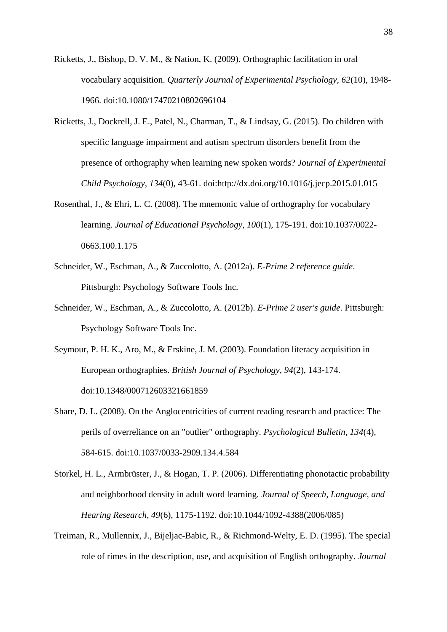- Ricketts, J., Bishop, D. V. M., & Nation, K. (2009). Orthographic facilitation in oral vocabulary acquisition. *Quarterly Journal of Experimental Psychology, 62*(10), 1948- 1966. doi:10.1080/17470210802696104
- Ricketts, J., Dockrell, J. E., Patel, N., Charman, T., & Lindsay, G. (2015). Do children with specific language impairment and autism spectrum disorders benefit from the presence of orthography when learning new spoken words? *Journal of Experimental Child Psychology, 134*(0), 43-61. doi:http://dx.doi.org/10.1016/j.jecp.2015.01.015
- Rosenthal, J., & Ehri, L. C. (2008). The mnemonic value of orthography for vocabulary learning. *Journal of Educational Psychology, 100*(1), 175-191. doi:10.1037/0022- 0663.100.1.175
- Schneider, W., Eschman, A., & Zuccolotto, A. (2012a). *E-Prime 2 reference guide*. Pittsburgh: Psychology Software Tools Inc.
- Schneider, W., Eschman, A., & Zuccolotto, A. (2012b). *E-Prime 2 user's guide*. Pittsburgh: Psychology Software Tools Inc.
- Seymour, P. H. K., Aro, M., & Erskine, J. M. (2003). Foundation literacy acquisition in European orthographies. *British Journal of Psychology, 94*(2), 143-174. doi:10.1348/000712603321661859
- Share, D. L. (2008). On the Anglocentricities of current reading research and practice: The perils of overreliance on an "outlier" orthography. *Psychological Bulletin, 134*(4), 584-615. doi:10.1037/0033-2909.134.4.584
- Storkel, H. L., Armbrüster, J., & Hogan, T. P. (2006). Differentiating phonotactic probability and neighborhood density in adult word learning. *Journal of Speech, Language, and Hearing Research, 49*(6), 1175-1192. doi:10.1044/1092-4388(2006/085)
- Treiman, R., Mullennix, J., Bijeljac-Babic, R., & Richmond-Welty, E. D. (1995). The special role of rimes in the description, use, and acquisition of English orthography. *Journal*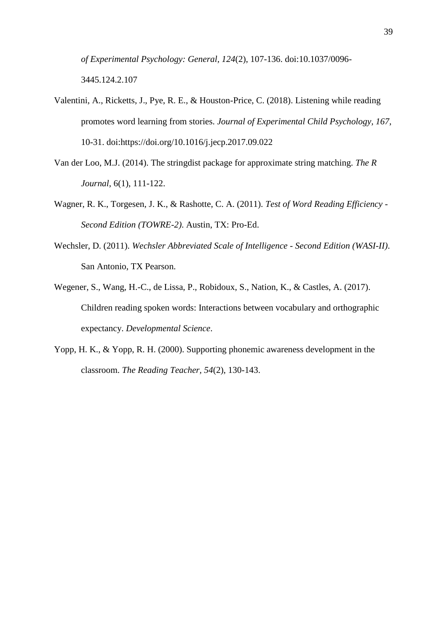*of Experimental Psychology: General, 124*(2), 107-136. doi:10.1037/0096- 3445.124.2.107

- Valentini, A., Ricketts, J., Pye, R. E., & Houston-Price, C. (2018). Listening while reading promotes word learning from stories. *Journal of Experimental Child Psychology, 167*, 10-31. doi:https://doi.org/10.1016/j.jecp.2017.09.022
- Van der Loo, M.J. (2014). The stringdist package for approximate string matching. *The R Journal*, 6(1), 111-122.
- Wagner, R. K., Torgesen, J. K., & Rashotte, C. A. (2011). *Test of Word Reading Efficiency - Second Edition (TOWRE-2)*. Austin, TX: Pro-Ed.
- Wechsler, D. (2011). *Wechsler Abbreviated Scale of Intelligence - Second Edition (WASI-II)*. San Antonio, TX Pearson.
- Wegener, S., Wang, H.-C., de Lissa, P., Robidoux, S., Nation, K., & Castles, A. (2017). Children reading spoken words: Interactions between vocabulary and orthographic expectancy. *Developmental Science*.
- Yopp, H. K., & Yopp, R. H. (2000). Supporting phonemic awareness development in the classroom. *The Reading Teacher, 54*(2), 130-143.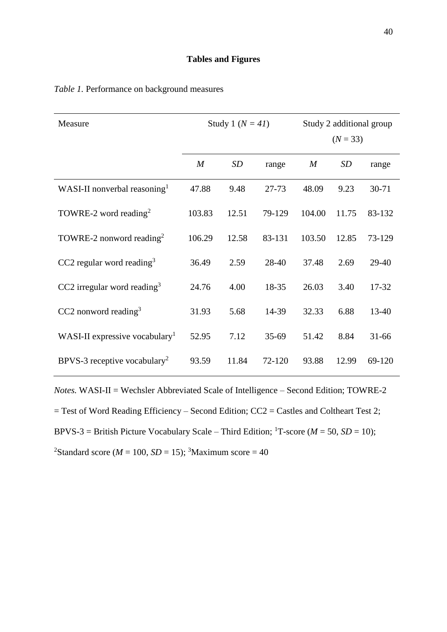#### **Tables and Figures**

| Measure                                    | Study 1 ( $N = 41$ ) |       |         | Study 2 additional group |            |           |
|--------------------------------------------|----------------------|-------|---------|--------------------------|------------|-----------|
|                                            |                      |       |         |                          | $(N = 33)$ |           |
|                                            | M                    | SD    | range   | $\boldsymbol{M}$         | SD         | range     |
| WASI-II nonverbal reasoning <sup>1</sup>   | 47.88                | 9.48  | 27-73   | 48.09                    | 9.23       | $30 - 71$ |
| TOWRE-2 word reading <sup>2</sup>          | 103.83               | 12.51 | 79-129  | 104.00                   | 11.75      | 83-132    |
| TOWRE-2 nonword reading <sup>2</sup>       | 106.29               | 12.58 | 83-131  | 103.50                   | 12.85      | 73-129    |
| CC2 regular word reading <sup>3</sup>      | 36.49                | 2.59  | 28-40   | 37.48                    | 2.69       | 29-40     |
| $CC2$ irregular word reading <sup>3</sup>  | 24.76                | 4.00  | 18-35   | 26.03                    | 3.40       | 17-32     |
| CC2 nonword reading $3$                    | 31.93                | 5.68  | 14-39   | 32.33                    | 6.88       | 13-40     |
| WASI-II expressive vocabulary <sup>1</sup> | 52.95                | 7.12  | $35-69$ | 51.42                    | 8.84       | $31 - 66$ |
| BPVS-3 receptive vocabulary <sup>2</sup>   | 93.59                | 11.84 | 72-120  | 93.88                    | 12.99      | 69-120    |

### *Table 1.* Performance on background measures

*Notes.* WASI-II = Wechsler Abbreviated Scale of Intelligence – Second Edition; TOWRE-2 = Test of Word Reading Efficiency – Second Edition; CC2 = Castles and Coltheart Test 2; BPVS-3 = British Picture Vocabulary Scale – Third Edition; <sup>1</sup>T-score ( $M = 50$ ,  $SD = 10$ ); <sup>2</sup>Standard score ( $M = 100$ ,  $SD = 15$ ); <sup>3</sup>Maximum score = 40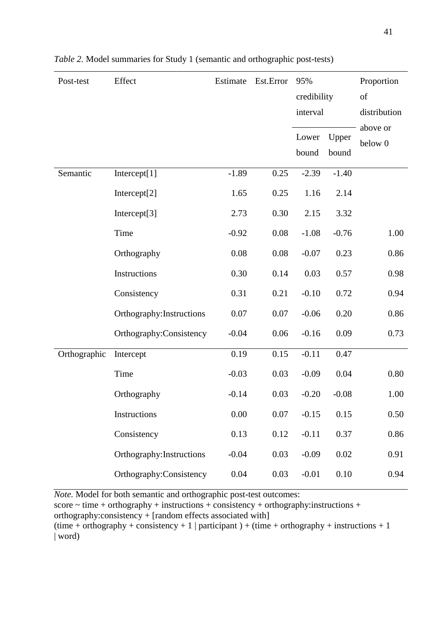| Post-test    | Effect                    | Estimate | Est.Error | 95%<br>credibility<br>interval |                | Proportion<br>of    |
|--------------|---------------------------|----------|-----------|--------------------------------|----------------|---------------------|
|              |                           |          |           |                                |                | distribution        |
|              |                           |          |           | Lower<br>bound                 | Upper<br>bound | above or<br>below 0 |
| Semantic     | Intercept[1]              | $-1.89$  | 0.25      | $-2.39$                        | $-1.40$        |                     |
|              | Intercept $[2]$           | 1.65     | 0.25      | 1.16                           | 2.14           |                     |
|              | Intercept[3]              | 2.73     | 0.30      | 2.15                           | 3.32           |                     |
|              | Time                      | $-0.92$  | 0.08      | $-1.08$                        | $-0.76$        | 1.00                |
|              | Orthography               | 0.08     | 0.08      | $-0.07$                        | 0.23           | 0.86                |
|              | Instructions              | 0.30     | 0.14      | 0.03                           | 0.57           | 0.98                |
|              | Consistency               | 0.31     | 0.21      | $-0.10$                        | 0.72           | 0.94                |
|              | Orthography: Instructions | 0.07     | 0.07      | $-0.06$                        | 0.20           | 0.86                |
|              | Orthography:Consistency   | $-0.04$  | 0.06      | $-0.16$                        | 0.09           | 0.73                |
| Orthographic | Intercept                 | 0.19     | 0.15      | $-0.11$                        | 0.47           |                     |
|              | Time                      | $-0.03$  | 0.03      | $-0.09$                        | 0.04           | 0.80                |
|              | Orthography               | $-0.14$  | 0.03      | $-0.20$                        | $-0.08$        | 1.00                |
|              | Instructions              | 0.00     | 0.07      | $-0.15$                        | 0.15           | 0.50                |
|              | Consistency               | 0.13     | 0.12      | $-0.11$                        | 0.37           | 0.86                |
|              | Orthography: Instructions | $-0.04$  | 0.03      | $-0.09$                        | 0.02           | 0.91                |
|              | Orthography: Consistency  | 0.04     | 0.03      | $-0.01$                        | $0.10\,$       | 0.94                |

|  |  | Table 2. Model summaries for Study 1 (semantic and orthographic post-tests) |  |
|--|--|-----------------------------------------------------------------------------|--|
|  |  |                                                                             |  |
|  |  |                                                                             |  |

*Note.* Model for both semantic and orthographic post-test outcomes:

 $score \sim time + orthography + instructions + consistency + orthography: instructions +$ 

orthography:consistency + [random effects associated with]

 $time + orthography + consistency + 1$  | participant ) + (time + orthography + instructions + 1) | word)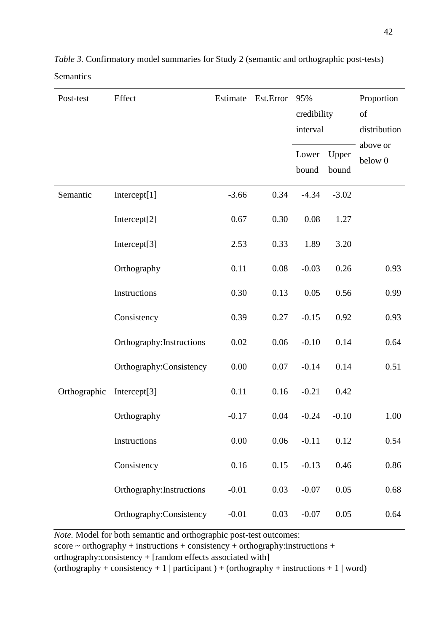| Post-test    | Effect                    | Estimate | Est.Error | 95%<br>credibility<br>interval |         | Proportion<br>of<br>distribution |
|--------------|---------------------------|----------|-----------|--------------------------------|---------|----------------------------------|
|              |                           |          |           | Lower                          | Upper   | above or<br>below 0              |
|              |                           |          |           | bound                          | bound   |                                  |
| Semantic     | Intercept[1]              | $-3.66$  | 0.34      | $-4.34$                        | $-3.02$ |                                  |
|              | Intercept[2]              | 0.67     | 0.30      | 0.08                           | 1.27    |                                  |
|              | Intercept[3]              | 2.53     | 0.33      | 1.89                           | 3.20    |                                  |
|              | Orthography               | 0.11     | 0.08      | $-0.03$                        | 0.26    | 0.93                             |
|              | Instructions              | 0.30     | 0.13      | 0.05                           | 0.56    | 0.99                             |
|              | Consistency               | 0.39     | 0.27      | $-0.15$                        | 0.92    | 0.93                             |
|              | Orthography: Instructions | 0.02     | 0.06      | $-0.10$                        | 0.14    | 0.64                             |
|              | Orthography:Consistency   | 0.00     | 0.07      | $-0.14$                        | 0.14    | 0.51                             |
| Orthographic | Intercept $[3]$           | 0.11     | 0.16      | $-0.21$                        | 0.42    |                                  |
|              | Orthography               | $-0.17$  | 0.04      | $-0.24$                        | $-0.10$ | 1.00                             |
|              | Instructions              | 0.00     | 0.06      | $-0.11$                        | 0.12    | 0.54                             |
|              | Consistency               | 0.16     | 0.15      | $-0.13$                        | 0.46    | 0.86                             |
|              | Orthography: Instructions | $-0.01$  | 0.03      | $-0.07$                        | 0.05    | 0.68                             |
|              | Orthography: Consistency  | $-0.01$  | 0.03      | $-0.07$                        | 0.05    | 0.64                             |

*Table 3.* Confirmatory model summaries for Study 2 (semantic and orthographic post-tests) **Semantics** 

*Note.* Model for both semantic and orthographic post-test outcomes:

 $score \sim orthography + instructions + consistency + orthography: instructions +$ 

orthography:consistency + [random effects associated with]

(orthography + consistency + 1 | participant ) + (orthography + instructions + 1 | word)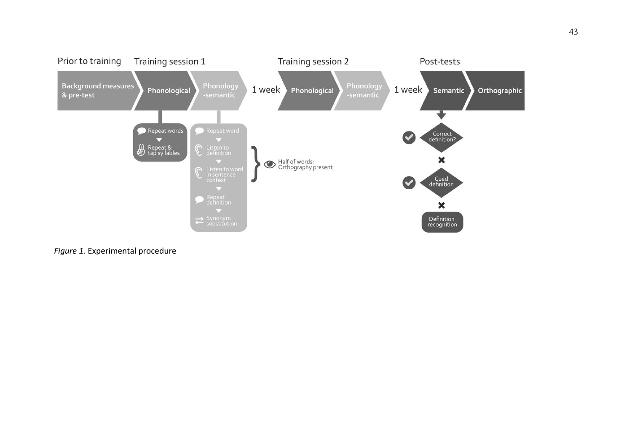

*Figure 1.* Experimental procedure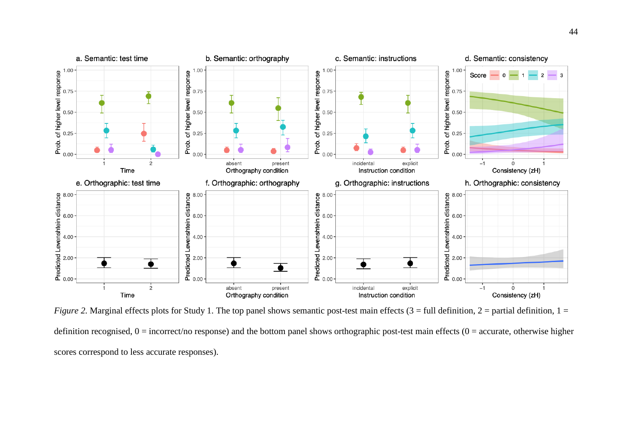

*Figure* 2. Marginal effects plots for Study 1. The top panel shows semantic post-test main effects  $(3 = full definition, 2 = partial definition, 1 = 1)$ definition recognised,  $0 =$  incorrect/no response) and the bottom panel shows orthographic post-test main effects ( $0 =$  accurate, otherwise higher scores correspond to less accurate responses).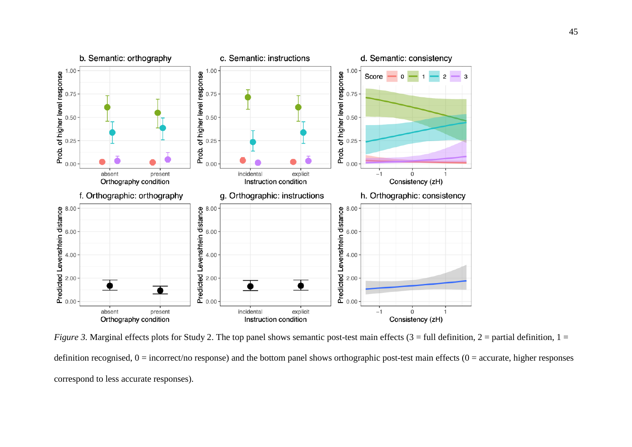

*Figure* 3. Marginal effects plots for Study 2. The top panel shows semantic post-test main effects  $(3 = full definition, 2 = partial definition, 1 =$ definition recognised,  $0 =$  incorrect/no response) and the bottom panel shows orthographic post-test main effects ( $0 =$  accurate, higher responses correspond to less accurate responses).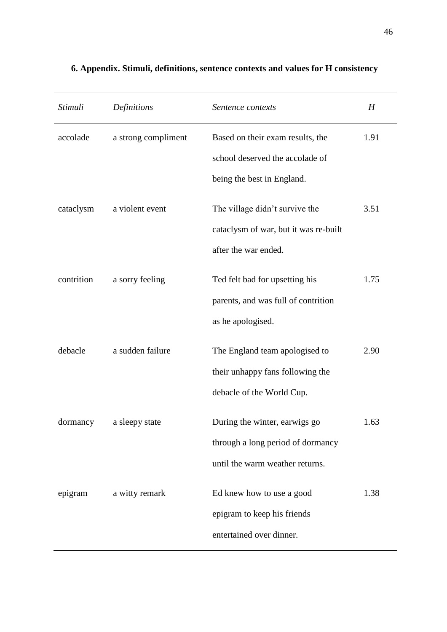| Stimuli    | Definitions         | Sentence contexts                                                                                     | H    |
|------------|---------------------|-------------------------------------------------------------------------------------------------------|------|
| accolade   | a strong compliment | Based on their exam results, the<br>school deserved the accolade of<br>being the best in England.     | 1.91 |
| cataclysm  | a violent event     | The village didn't survive the<br>cataclysm of war, but it was re-built<br>after the war ended.       | 3.51 |
| contrition | a sorry feeling     | Ted felt bad for upsetting his<br>parents, and was full of contrition<br>as he apologised.            | 1.75 |
| debacle    | a sudden failure    | The England team apologised to<br>their unhappy fans following the<br>debacle of the World Cup.       | 2.90 |
| dormancy   | a sleepy state      | During the winter, earwigs go<br>through a long period of dormancy<br>until the warm weather returns. | 1.63 |
| epigram    | a witty remark      | Ed knew how to use a good<br>epigram to keep his friends<br>entertained over dinner.                  | 1.38 |

## **6. Appendix. Stimuli, definitions, sentence contexts and values for H consistency**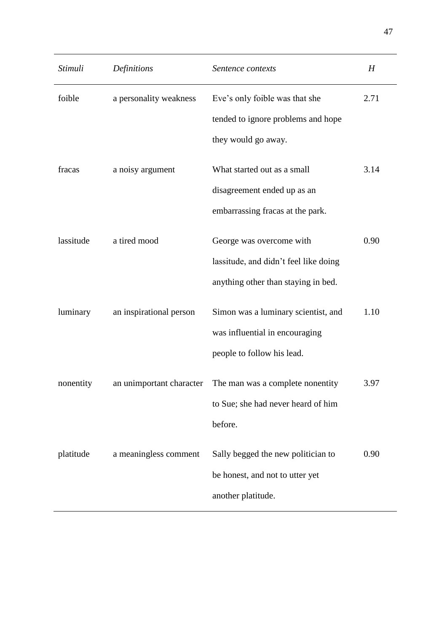| Stimuli   | Definitions              | Sentence contexts                                                                                        | H    |
|-----------|--------------------------|----------------------------------------------------------------------------------------------------------|------|
| foible    | a personality weakness   | Eve's only foible was that she<br>tended to ignore problems and hope<br>they would go away.              | 2.71 |
| fracas    | a noisy argument         | What started out as a small<br>disagreement ended up as an<br>embarrassing fracas at the park.           | 3.14 |
| lassitude | a tired mood             | George was overcome with<br>lassitude, and didn't feel like doing<br>anything other than staying in bed. | 0.90 |
| luminary  | an inspirational person  | Simon was a luminary scientist, and<br>was influential in encouraging<br>people to follow his lead.      | 1.10 |
| nonentity | an unimportant character | The man was a complete nonentity<br>to Sue; she had never heard of him<br>before.                        | 3.97 |
| platitude | a meaningless comment    | Sally begged the new politician to<br>be honest, and not to utter yet<br>another platitude.              | 0.90 |